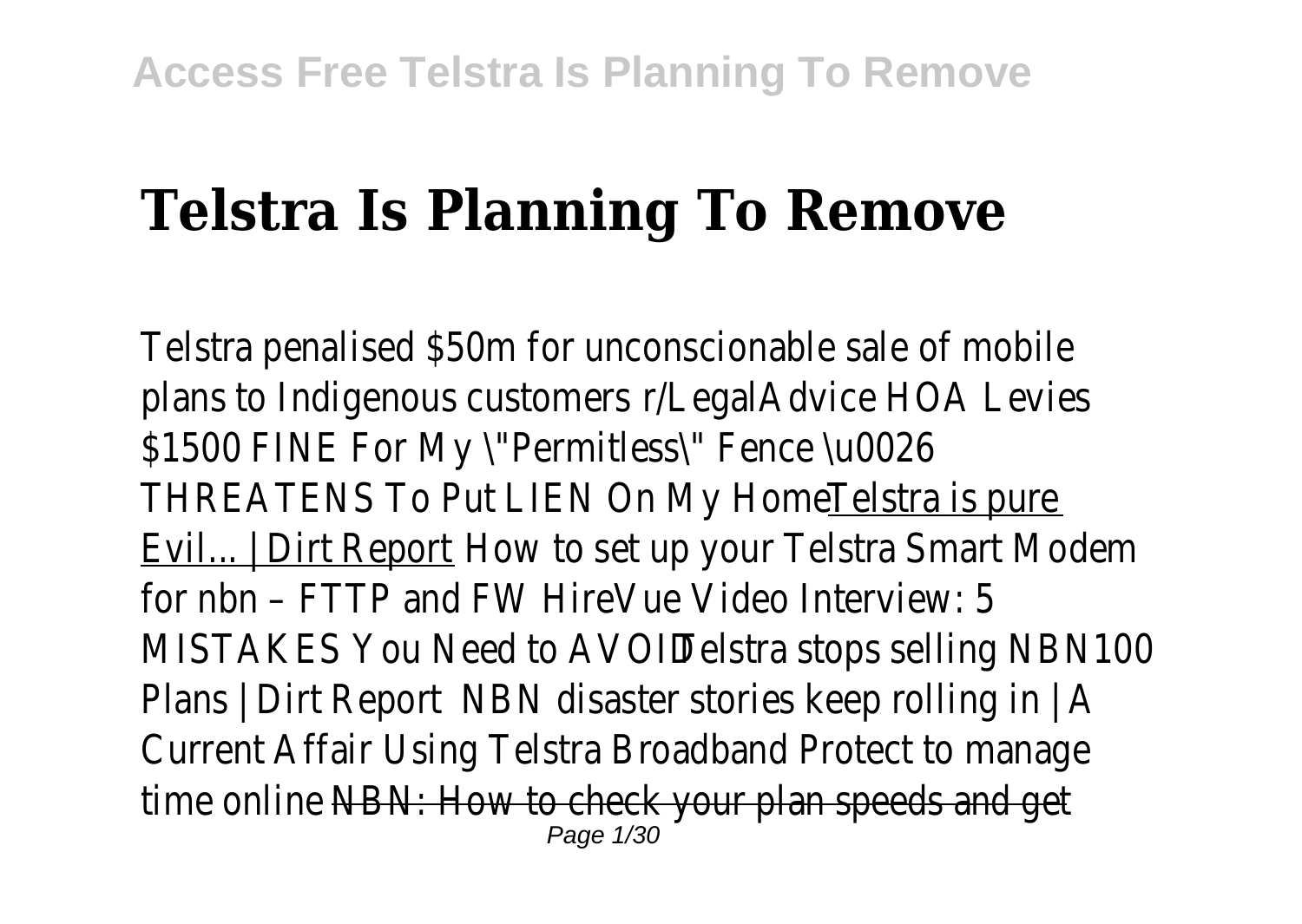## **Telstra Is Planning To Remove**

Telstra penalised \$50m for unconscionable sale of mobile plans to Indigenous customer AlegalAdvice HOA Levies \$1500 FINE For My \"Permitless\" Fence \u0026 THREATENS To Put LIEN On My Home! Telstra is pure Evil... | Dirt Report How to set up your Telstra Smart Modem for nbn – FTTP and FWHireVue Video Interview: 5 MISTAKES You Need to AVOID Telstra stops selling NBN100 Plans | Dirt Report NBN disaster stories keep rolling in | A Current AffairUsing Telstra Broadband Protect to manage time onlineNBN: How to check your plan speeds and get Page 1/30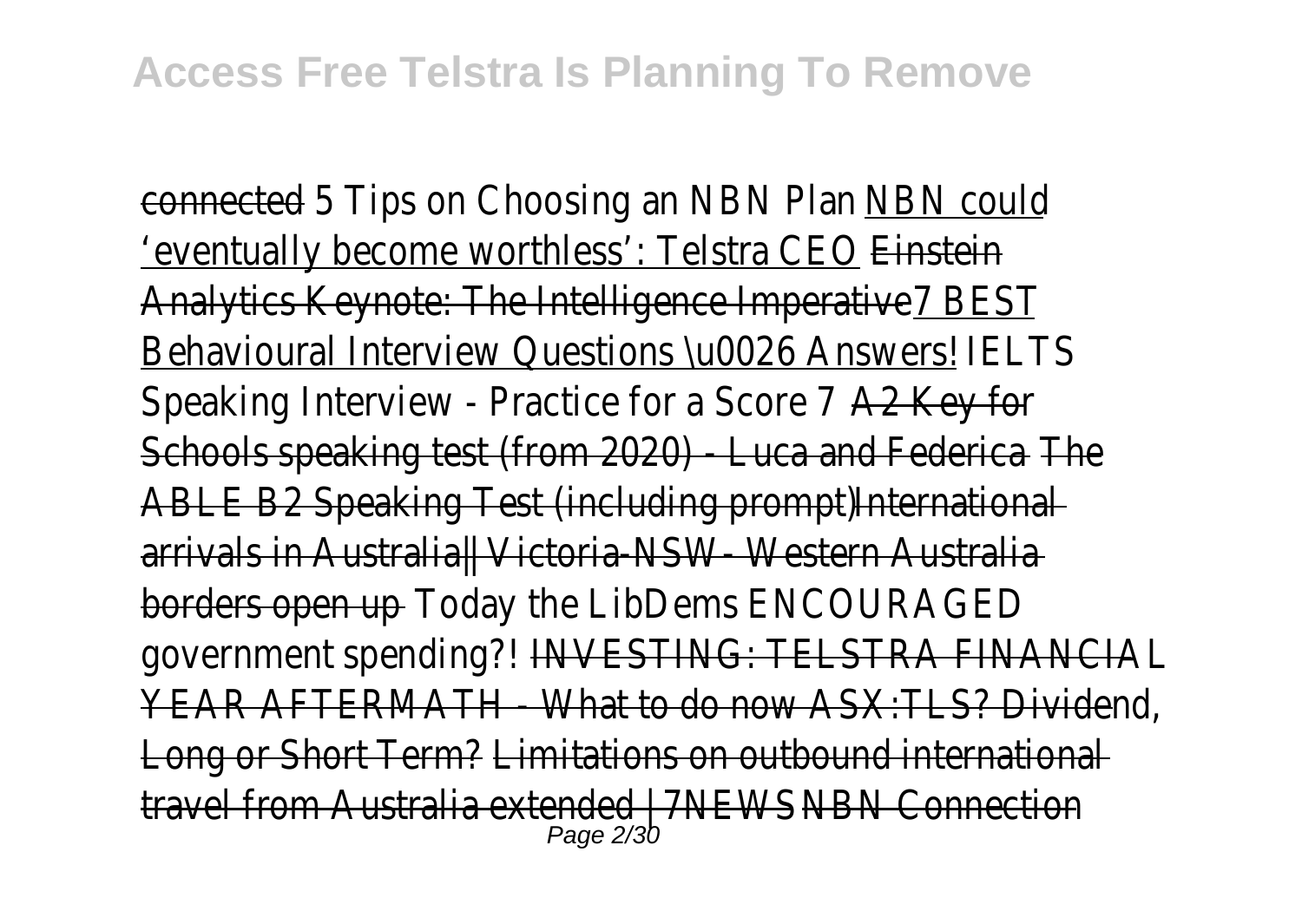connected<sub>5</sub> Tips on Choosing an NBN PlanNBN could 'eventually become worthless': Telstra CEOnstein Analytics Keynote: The Intelligence ImperativeBEST Behavioural Interview Questions \u0026 Answers! ISL Speaking Interview - Practice for a Score 27 Key for Schools speaking test (from 2020) - Luca and Fedenica ABLE B2 Speaking Test (including prompthternational arrivals in Australia|| Victoria-NSW- Western Australia borders open upToday the LibDems ENCOURAGED government spending? AVESTING: TELSTRA FINANCIAL YEAR AFTERMATH - What to do now ASX: TLS? Dividend Long or Short Term?Limitations on outbound international travel from Australia extended | 7NFWBN Connection Page 2/30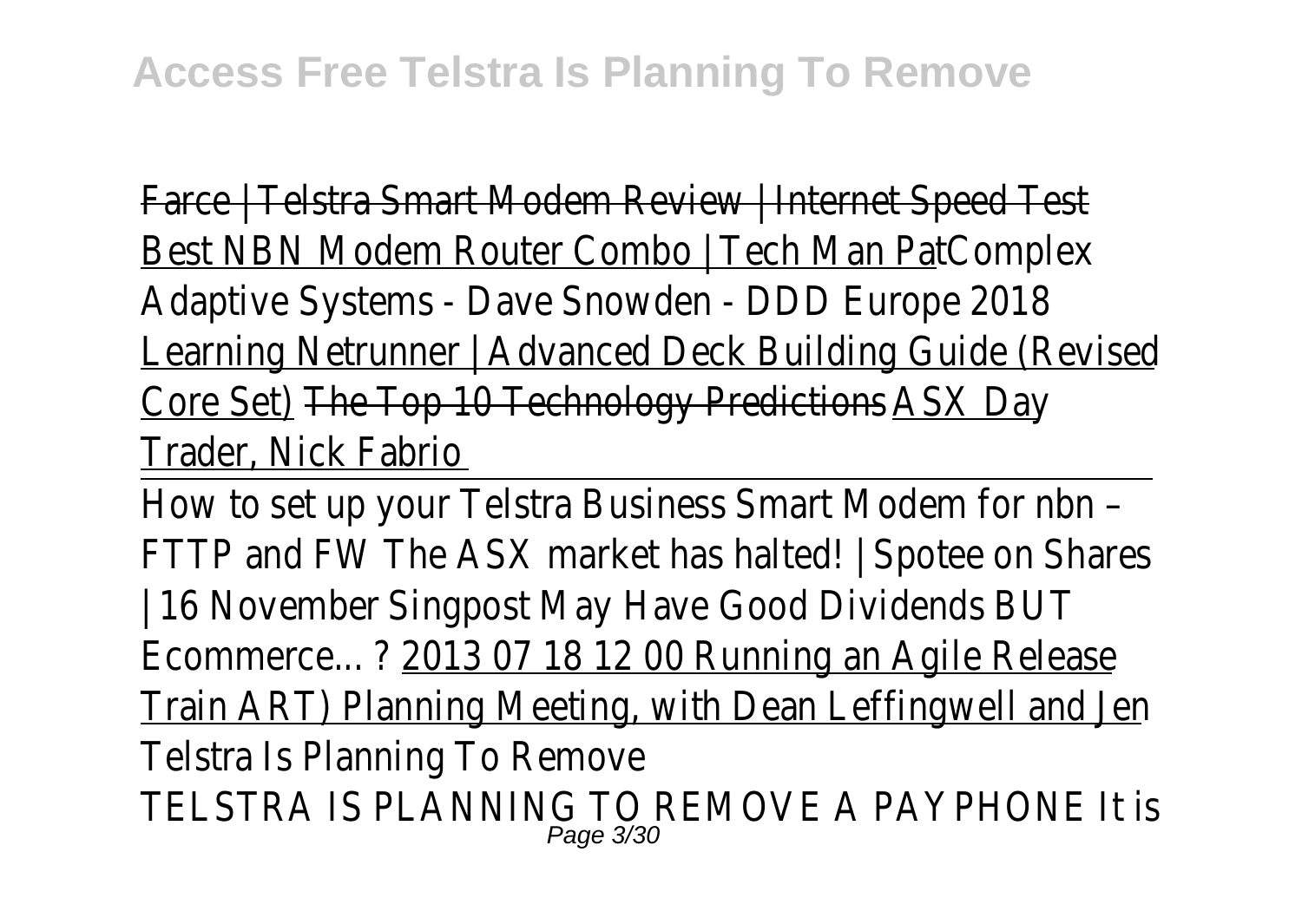Farce | Telstra Smart Modem Review | Internet Speed Test Best NBN Modem Router Combo | Tech Man Pat plex Adaptive Systems - Dave Snowden - DDD Europe 2018 Learning Netrunner | Advanced Deck Building Guide (Revised Core Set)The Top 10 Technology Prediction SX Day Trader, Nick Fabrio

How to set up your Telstra Business Smart Modem for nbn – FTTP and FW The ASX market has halted! | Spotee on Shares | 16 Novembe Singpost May Have Good Dividends BUT Ecommerce... ?2013 07 18 12 00 Running an Agile Release Train ART) Planning Meeting, with Dean Leffingwell and Jen Telstra Is Planning To Remove TELSTRA IS PLANNING TO REMOVE A PAYPHONE It is Page 3/30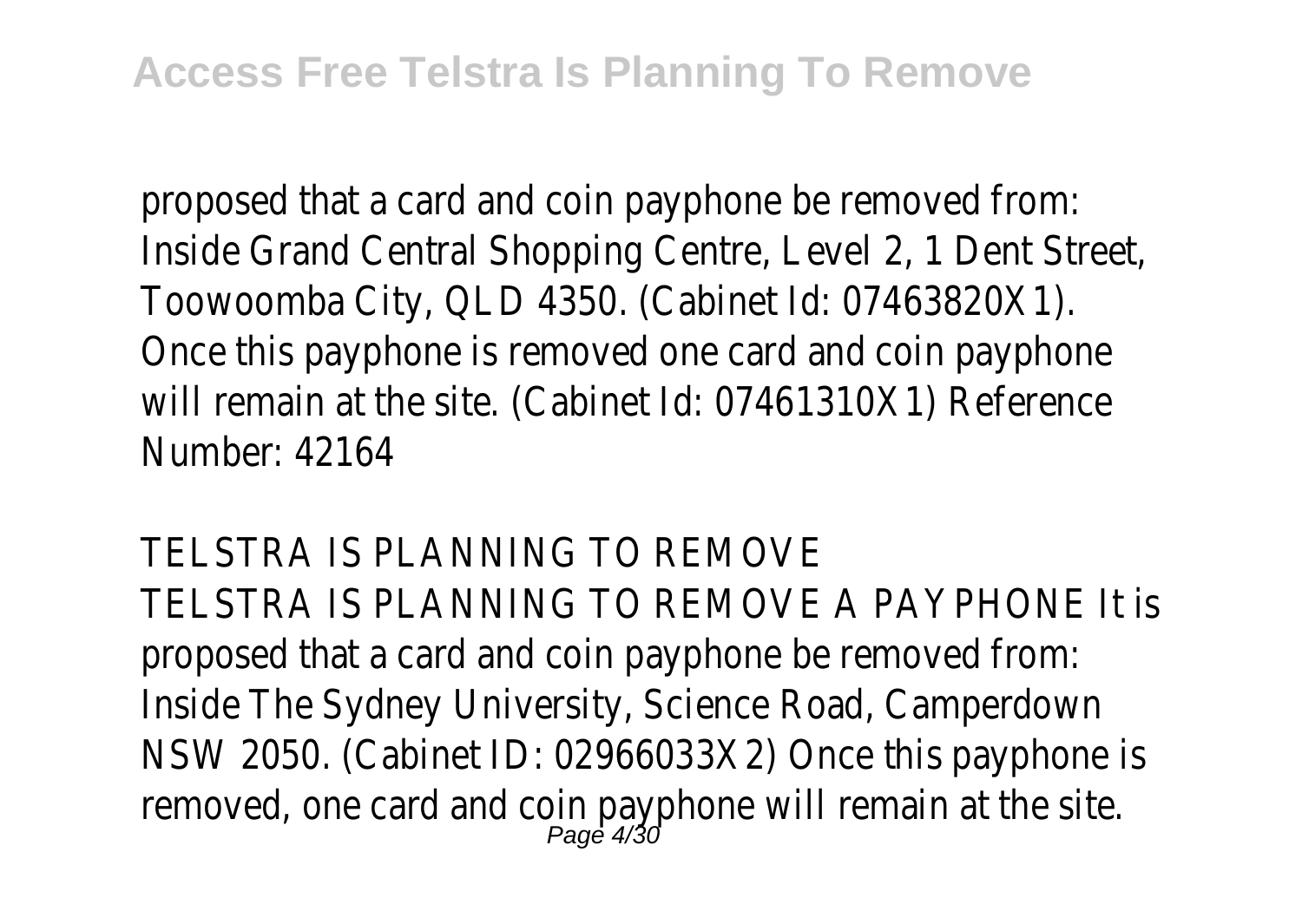proposed that a card and coin payphone be removed from: Inside Grand Central Shopping Centre, Level 2, 1 Dent Street, Toowoomba City, QLD 4350. (Cabinet Id: 07463820X1). Once this payphone is removed one card and coin payphone will remain at the site. (Cabinet Id: 07461310X1) Reference Number: 42164

TELSTRA IS PLANNING TO REMOVE TELSTRA IS PLANNING TO REMOVE A PAYPHONE It is proposed that a card and coin payphone be removed from: Inside The Sydney University, Science Road, Camperdown NSW 2050. (Cabinet ID: 02966033X2) Once this payphone is removed, one card and coin payphone will remain at the site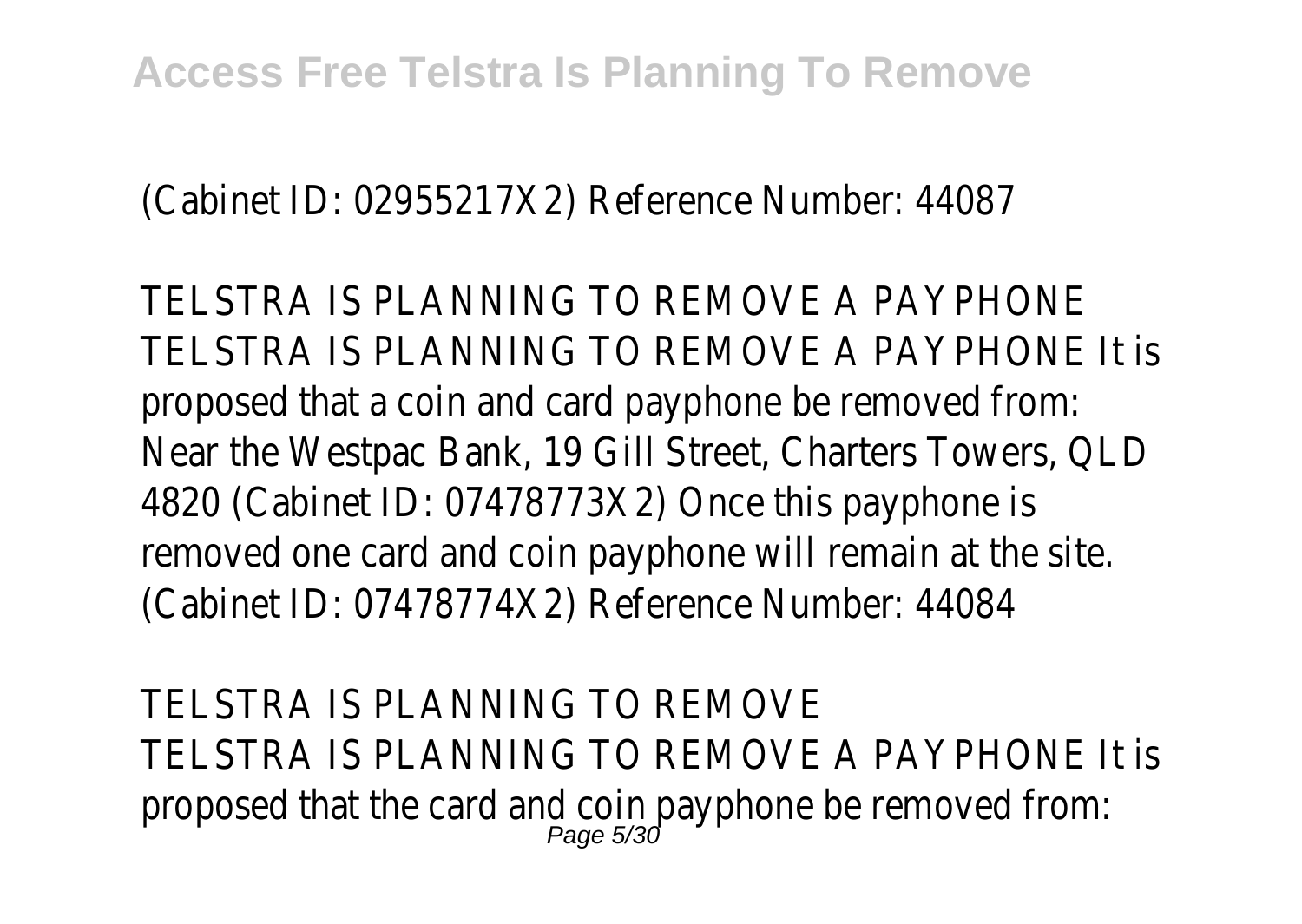(Cabinet ID: 02955217X2) Reference Number: 44087

TELSTRA IS PLANNING TO REMOVE A PAYPHONE TELSTRA IS PLANNING TO REMOVE A PAYPHONE It is proposed that a coin and card payphone be removed from: Near the Westpac Bank, 19 Gill Street, Charters Towers, QLD 4820 (Cabinet ID: 07478773X2) Once this payphone is removed one card and coin payphone will remain at the site. (Cabinet ID: 07478774X2) Reference Number: 44084

TELSTRA IS PLANNING TO REMOVE TELSTRA IS PLANNING TO REMOVE A PAYPHONE It is proposed that the card and coin payphone be removed from: Page 5/30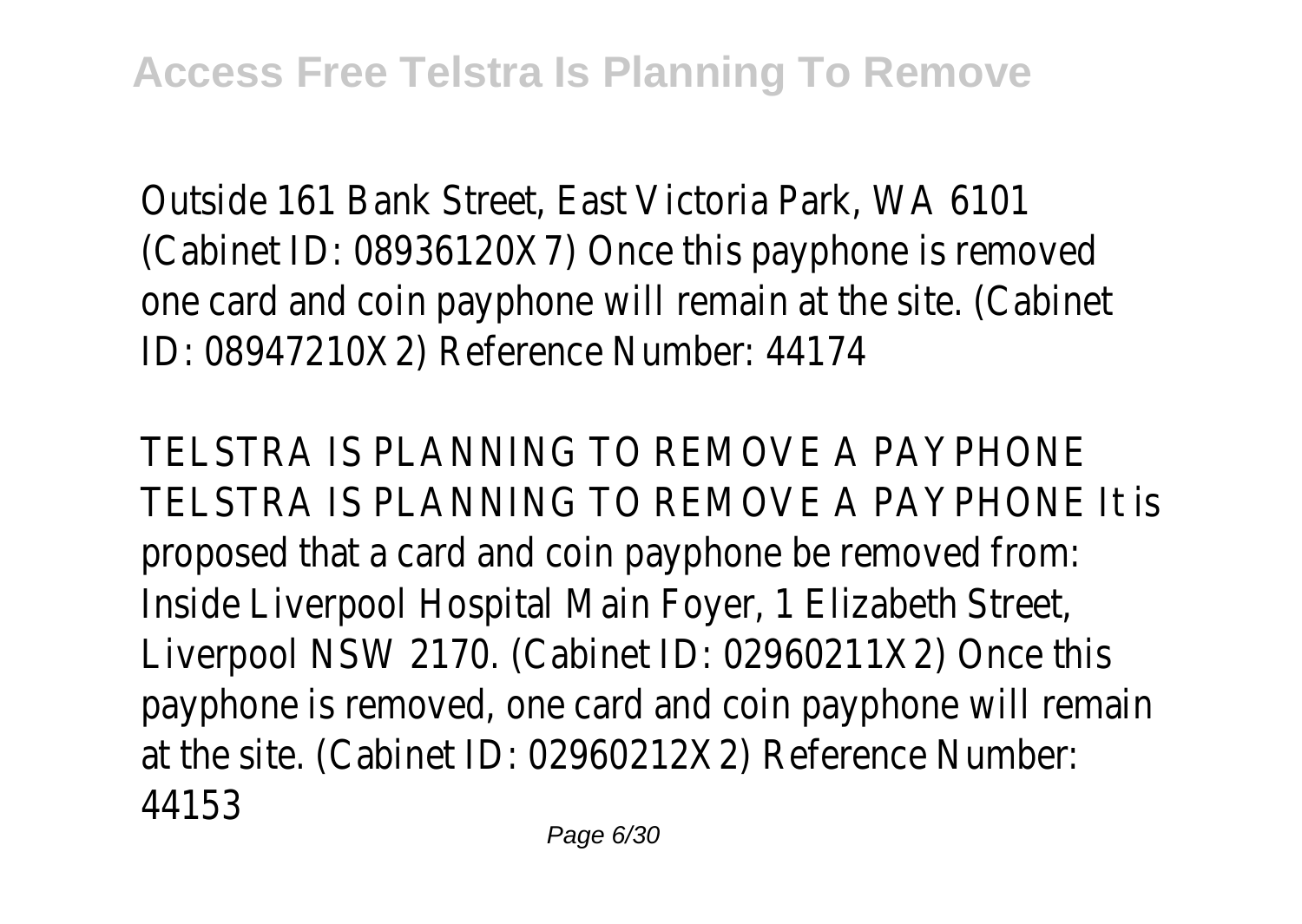Outside 161 Bank Street, East Victoria Park, WA 6101 (Cabinet ID: 08936120X7) Once this payphone is removed one card and coin payphone will remain at the site. (Cabinet ID: 08947210X2) Reference Number: 44174

TELSTRA IS PLANNING TO REMOVE A PAYPHONI TELSTRA IS PLANNING TO REMOVE A PAYPHONE It is proposed that a card and coin payphone be removed from: Inside Liverpool Hospital Main Foyer, 1 Elizabeth Street, Liverpool NSW 2170. (Cabinet ID: 02960211X2) Once this payphone is removed, one card and coin payphone will remain at the site. (Cabinet ID: 02960212X2) Reference Number: 44153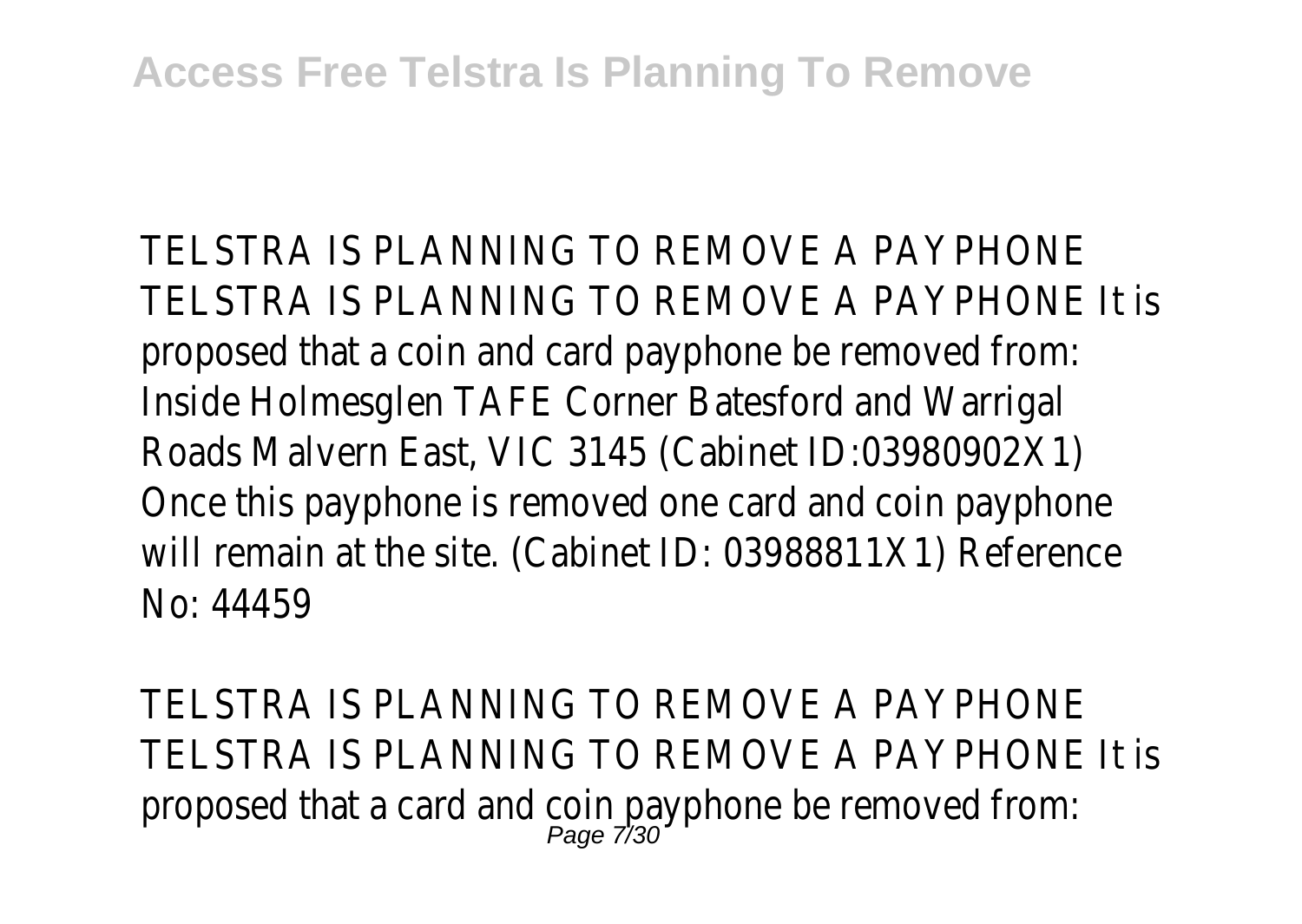TELSTRA IS PLANNING TO REMOVE A PAYPHONE TELSTRA IS PLANNING TO REMOVE A PAYPHONE It is proposed that a coin and card payphone be removed from: Inside Holmesglen TAFE Corner Batesford and Warrigal Roads Malvern East, VIC 3145 (Cabinet ID:03980902X1) Once this payphone is removed one card and coin payphone will remain at the site. (Cabinet ID: 03988811X1) Reference No: 44459

TELSTRA IS PLANNING TO REMOVE A PAYPHONE TELSTRA IS PLANNING TO REMOVE A PAYPHONE It is proposed that a card and coin payphone be removed from: Page 7/30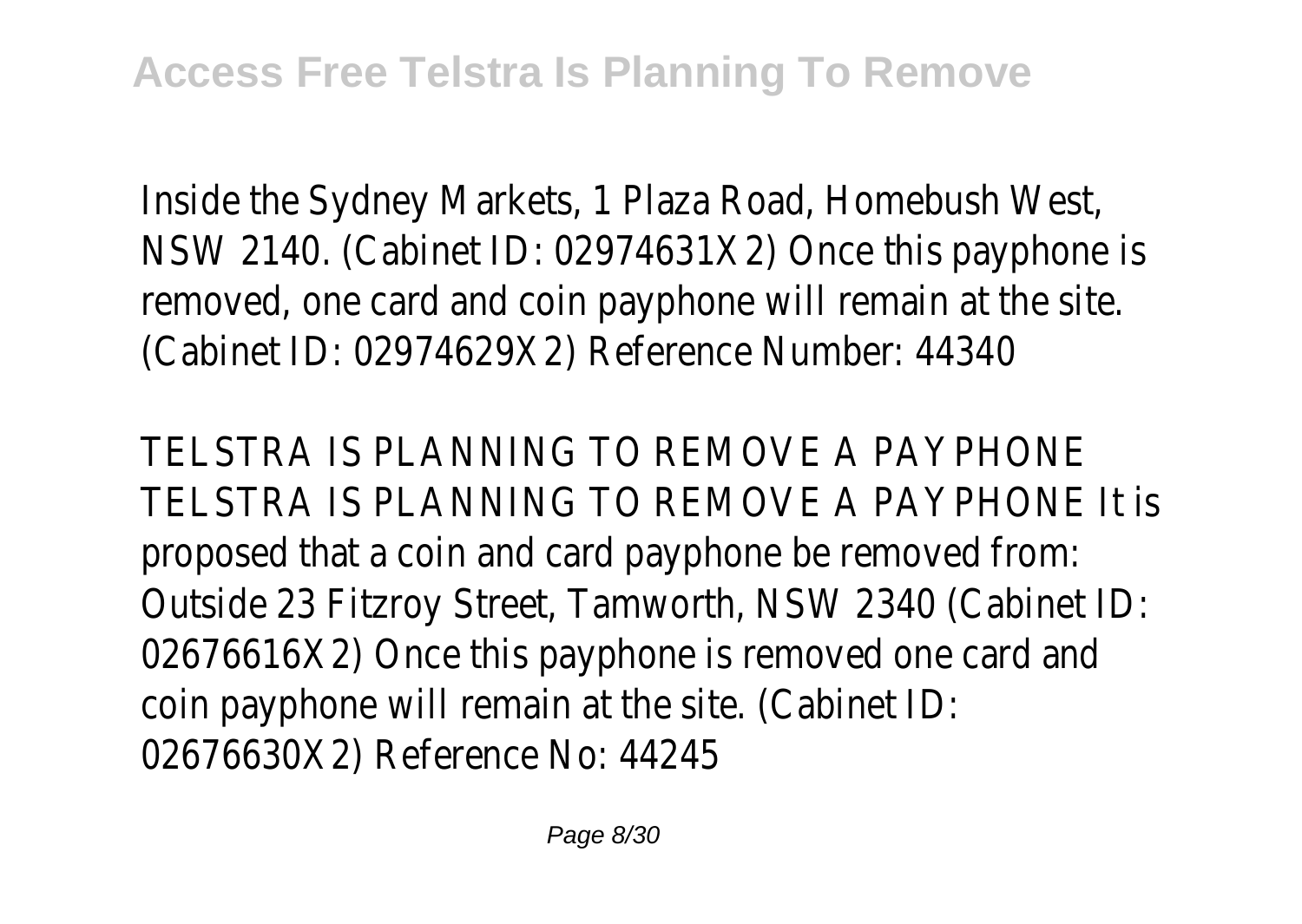Inside the Sydney Markets, 1 Plaza Road, Homebush West, NSW 2140. (Cabinet ID: 02974631X2) Once this payphone is removed, one card and coin payphone will remain at the site. (Cabinet ID: 02974629X2) Reference Number: 44340

TELSTRA IS PLANNING TO REMOVE A PAYPHONE TELSTRA IS PLANNING TO REMOVE A PAYPHONE It is proposed that a coin and card payphone be removed from: Outside 23 Fitzroy Street, Tamworth, NSW 2340 (Cabinet ID: 02676616X2) Once this payphone is removed one card and coin payphone will remain at the site. (Cabinet ID: 02676630X2) Reference No: 44245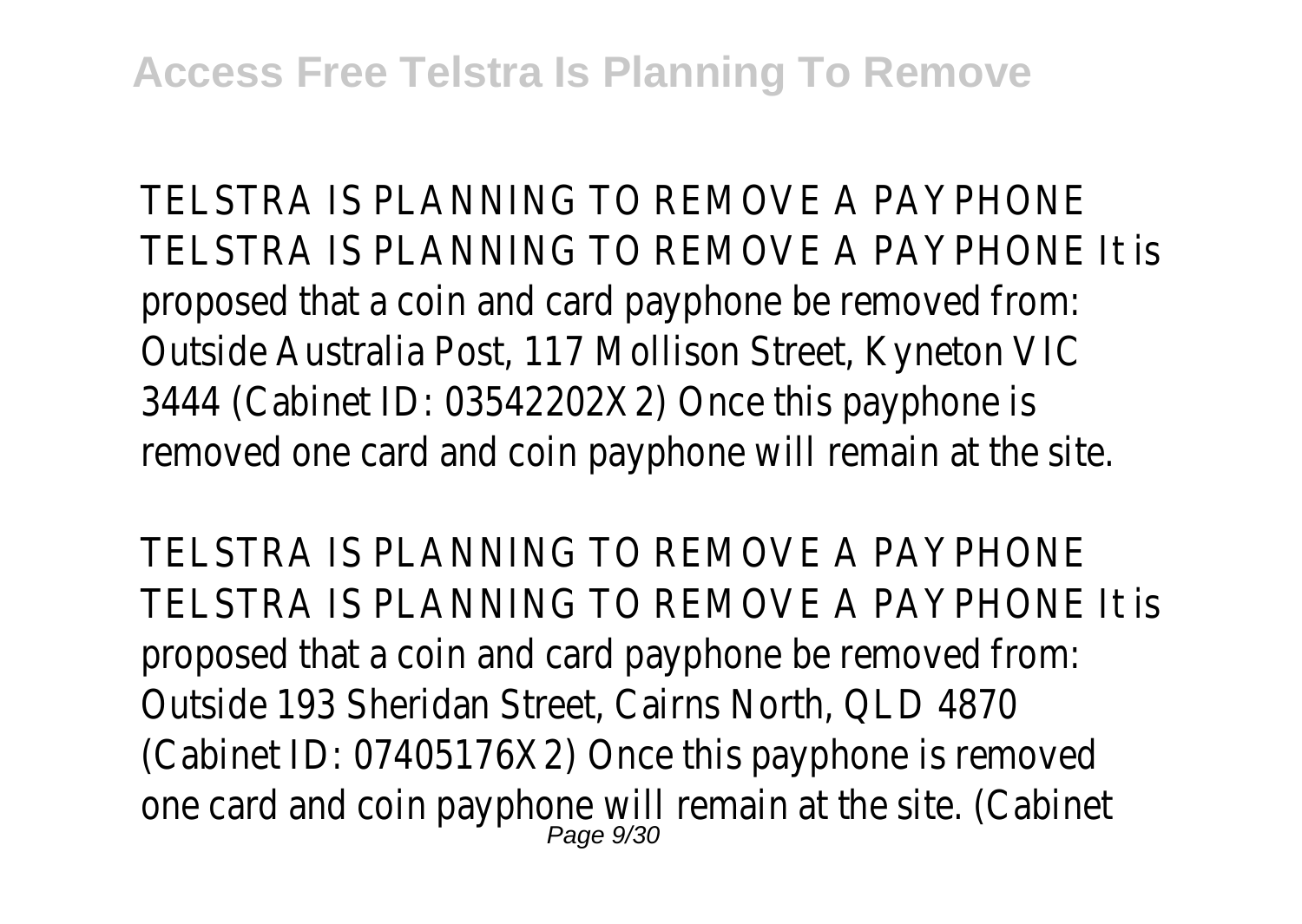TELSTRA IS PLANNING TO REMOVE A PAYPHONE TELSTRA IS PLANNING TO REMOVE A PAYPHONE It is proposed that a coin and card payphone be removed from: Outside Australia Post, 117 Mollison Street, Kyneton VIC 3444 (Cabinet ID: 03542202X2) Once this payphone is removed one card and coin payphone will remain at the site.

TELSTRA IS PLANNING TO REMOVE A PAYPHONE TELSTRA IS PLANNING TO REMOVE A PAYPHONE It is proposed that a coin and card payphone be removed from: Outside 193 Sheridan Street, Cairns North, QLD 4870 (Cabinet ID: 07405176X2) Once this payphone is removed one card and coin payphone will remain at the site. (Cabinet Page 9/30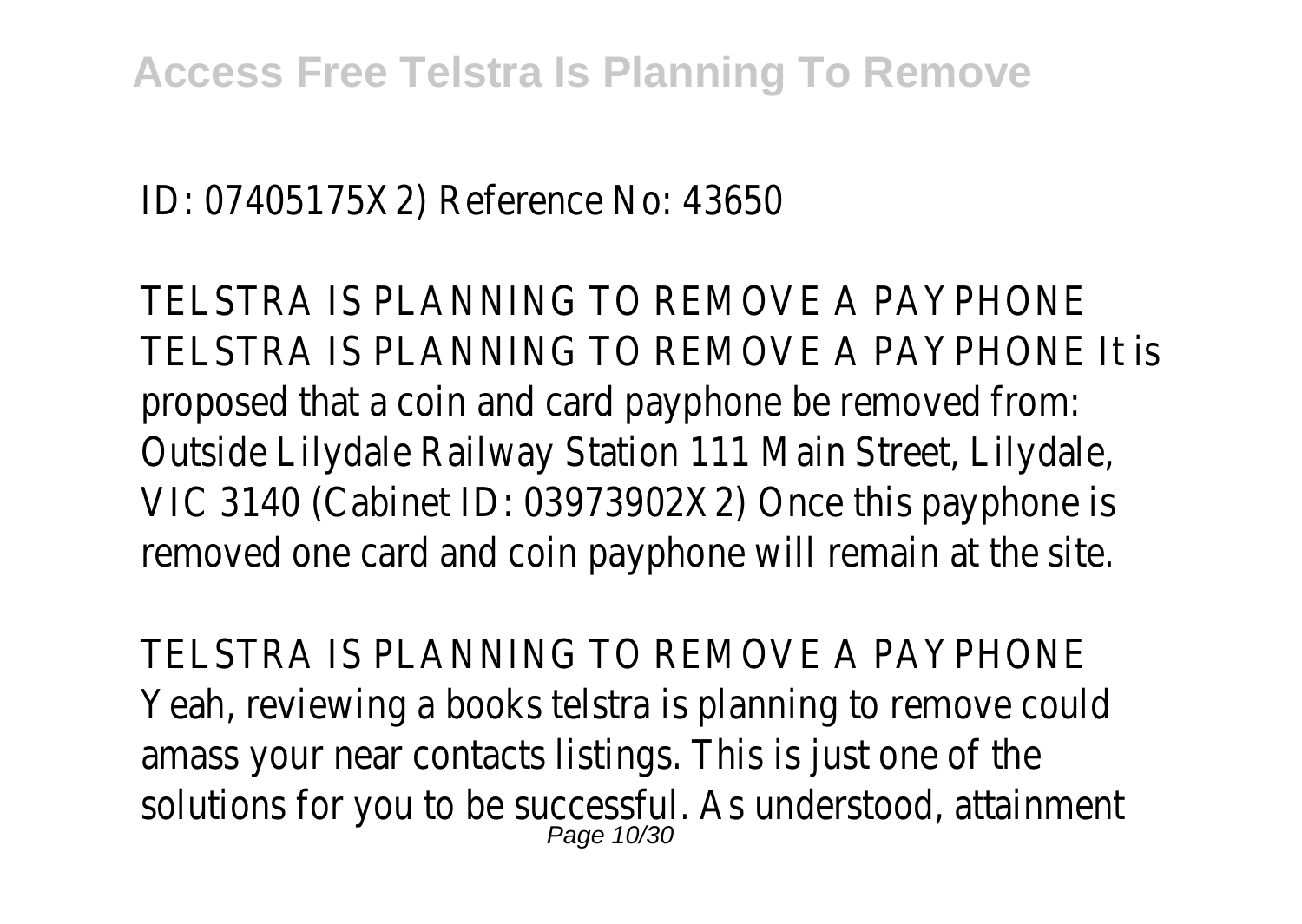## ID: 07405175X2) Reference No: 43650

TELSTRA IS PLANNING TO REMOVE A PAYPHONE TELSTRA IS PLANNING TO REMOVE A PAYPHONE It is proposed that a coin and card payphone be removed from: Outside Lilydale Railway Station 111 Main Street, Lilydale, VIC 3140 (Cabinet ID: 03973902X2) Once this payphone is removed one card and coin payphone will remain at the site.

TELSTRA IS PLANNING TO REMOVE A PAYPHONE Yeah, reviewing a books telstra is planning to remove could amass your near contacts listings. This is just one of the solutions for you to be successful. As understood, attainment Page 10/30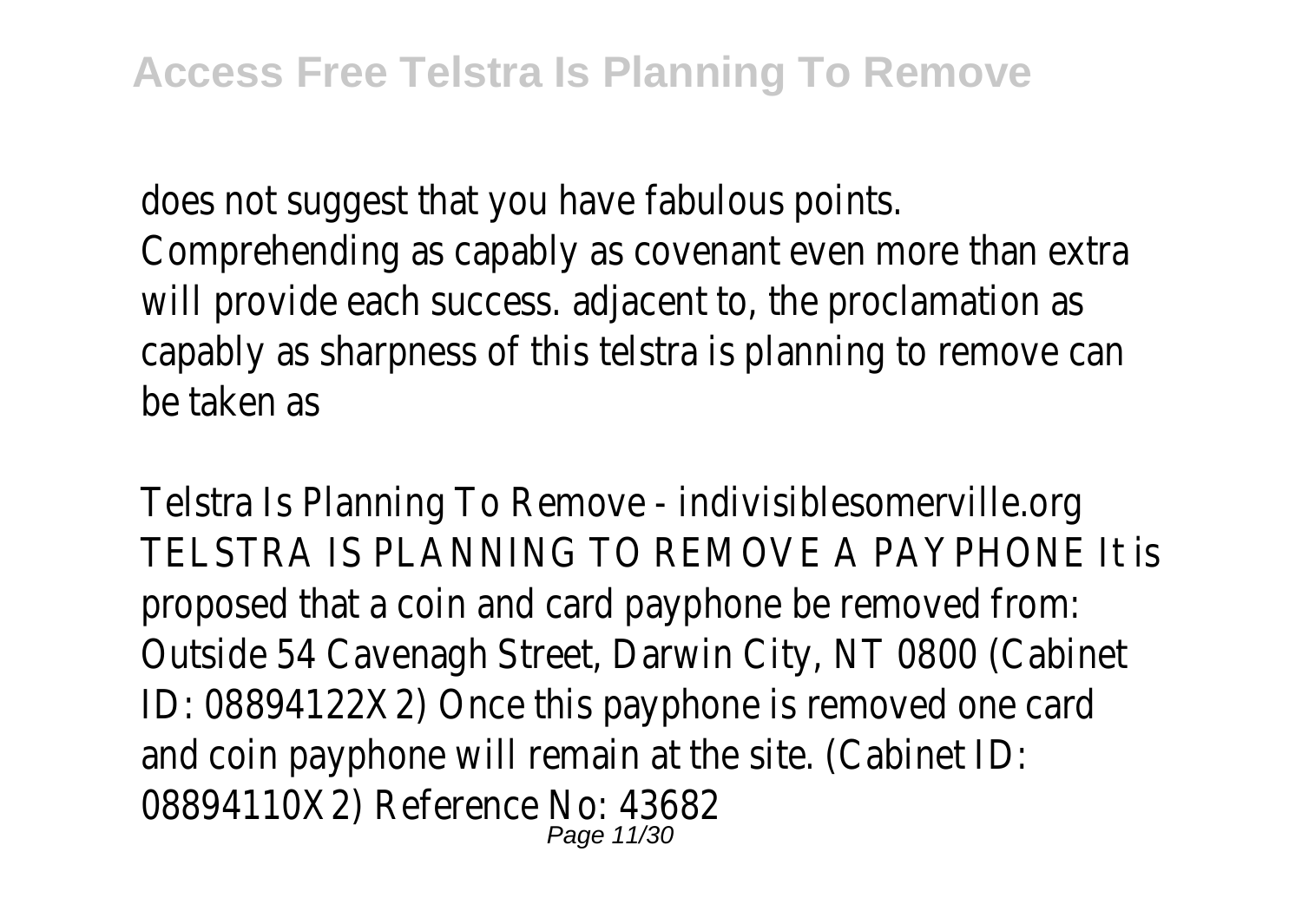does not suggest that you have fabulous points. Comprehending as capably as covenant even more than extra will provide each success. adjacent to, the proclamation as capably as sharpness of this telstra is planning to remove can be taken as

Telstra Is Planning To Remove - indivisiblesomerville.org TELSTRA IS PLANNING TO REMOVE A PAYPHONE It is proposed that a coin and card payphone be removed from: Outside 54 Cavenagh Street, Darwin City, NT 0800 (Cabinet ID: 08894122X2) Once this payphone is removed one card and coin payphone will remain at the site. (Cabinet ID: 08894110X2) Reference No: 43682 Page 11/30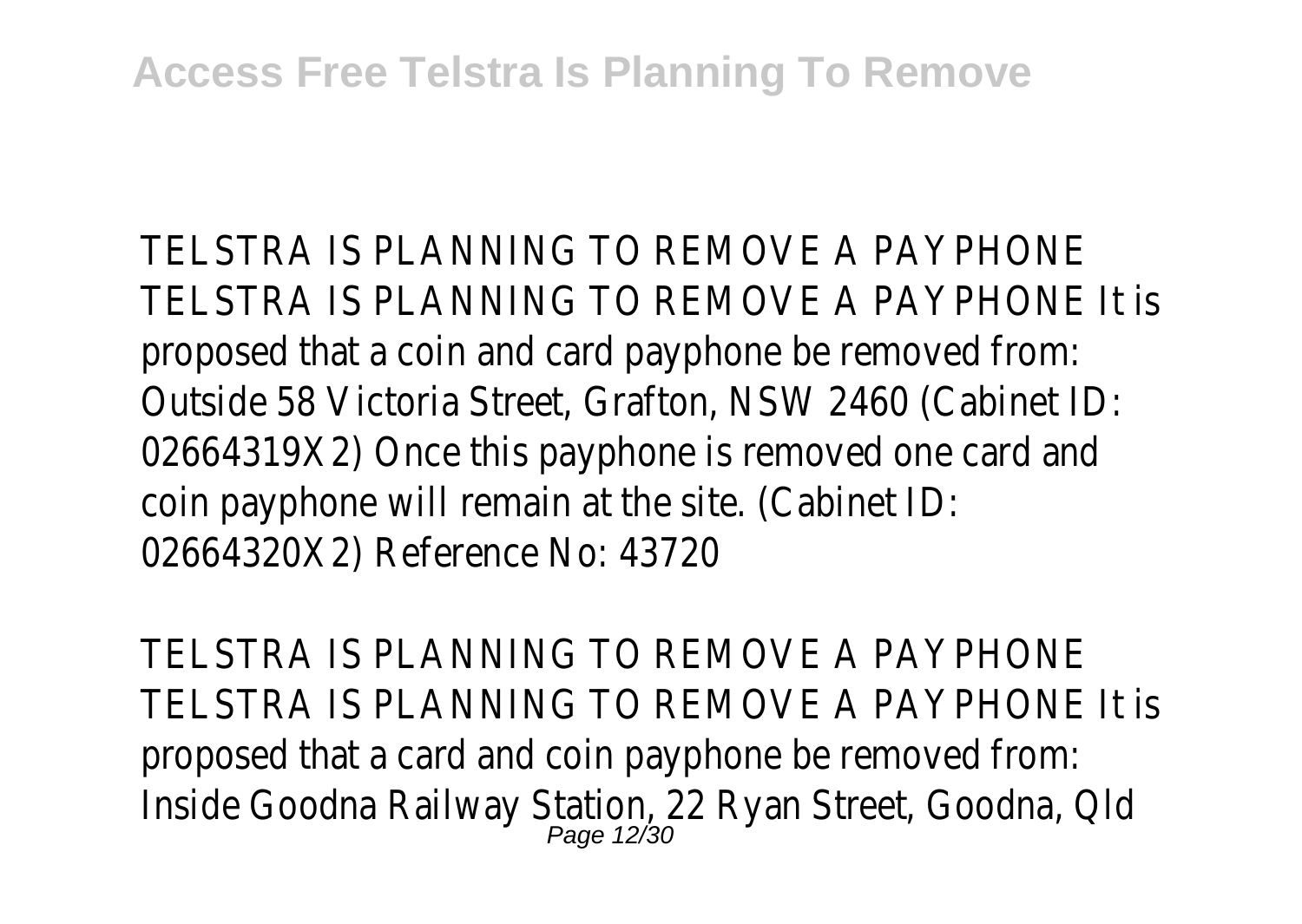TELSTRA IS PLANNING TO REMOVE A PAYPHONE TELSTRA IS PLANNING TO REMOVE A PAYPHONE It is proposed that a coin and card payphone be removed from: Outside 58 Victoria Street, Grafton, NSW 2460 (Cabinet ID: 02664319X2) Once this payphone is removed one card and coin payphone will remain at the site. (Cabinet ID: 02664320X2) Reference No: 43720

TELSTRA IS PLANNING TO REMOVE A PAYPHONE TELSTRA IS PLANNING TO REMOVE A PAYPHONE It is proposed that a card and coin payphone be removed from: Inside Goodna Railway Station, 22 Ryan Street, Goodna, Qld Page 12/30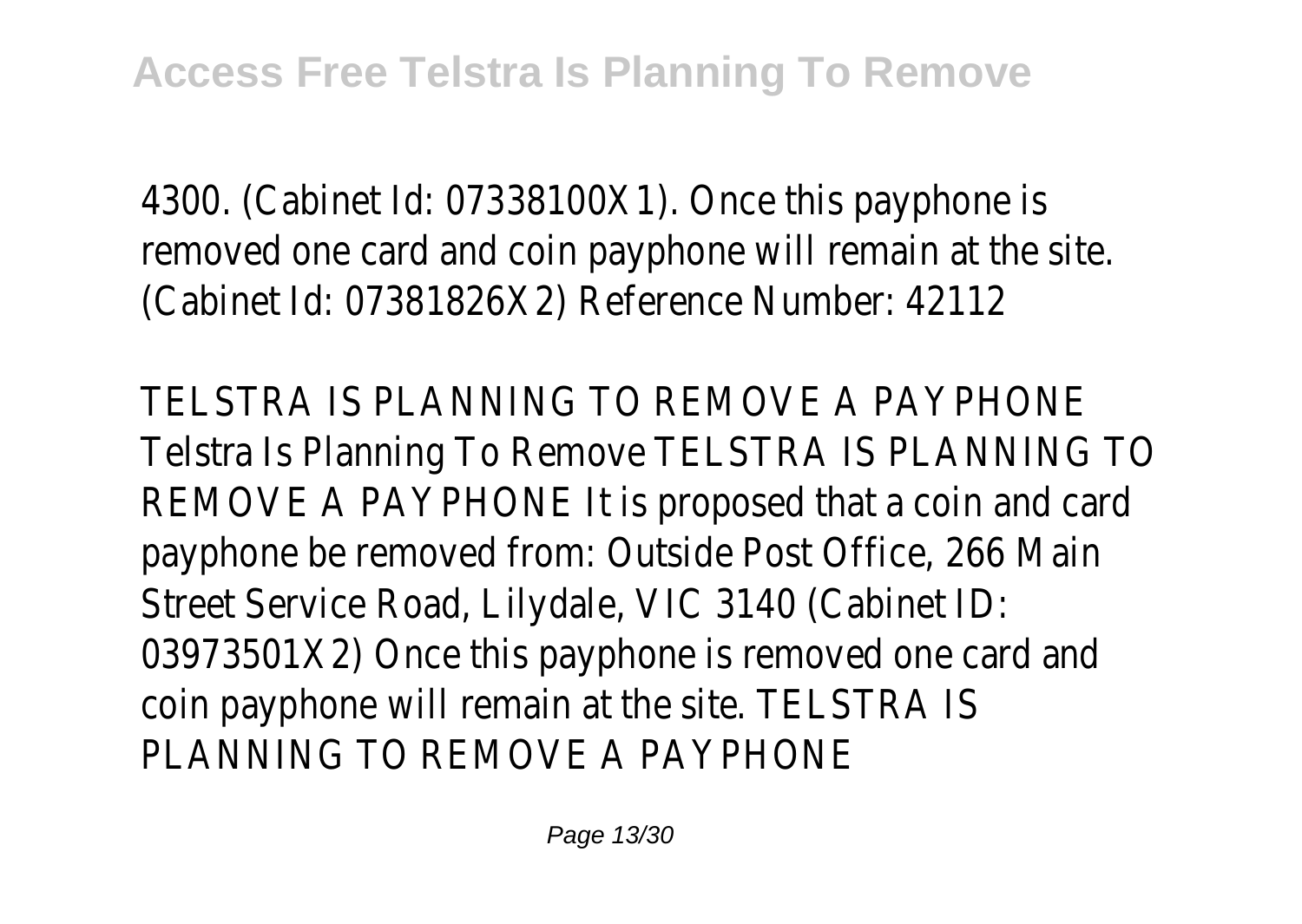4300. (Cabinet Id: 07338100X1). Once this payphone is removed one card and coin payphone will remain at the site. (Cabinet Id: 07381826X2) Reference Number: 42112

TELSTRA IS PLANNING TO REMOVE A PAYPHONE Telstra Is Planning To Remove TELSTRA IS PLANNING TO REMOVE A PAYPHONE It is proposed that a coin and card payphone be removed from: Outside Post Office, 266 Main Street Service Road, Lilydale, VIC 3140 (Cabinet ID: 03973501X2) Once this payphone is removed one card and coin payphone will remain at the site. TELSTRA IS PLANNING TO REMOVE A PAYPHONE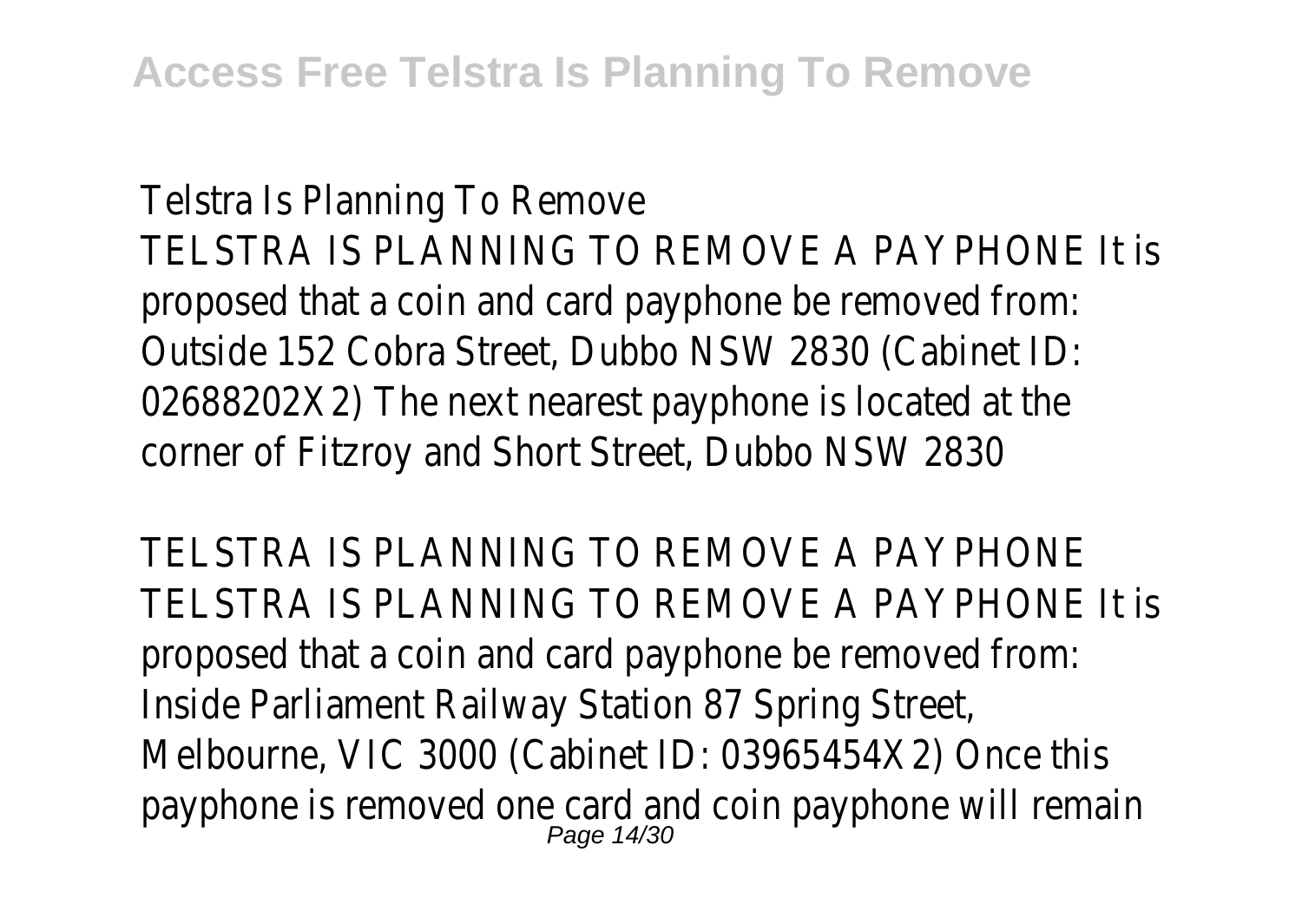Telstra Is Planning To Remove TELSTRA IS PLANNING TO REMOVE A PAYPHONE It is proposed that a coin and card payphone be removed from: Outside 152 Cobra Street, Dubbo NSW 2830 (Cabinet ID: 02688202X2) The next nearest payphone is located at the corner of Fitzroy and Short Street, Dubbo NSW 2830

TELSTRA IS PLANNING TO REMOVE A PAYPHONE TELSTRA IS PLANNING TO REMOVE A PAYPHONE It is proposed that a coin and card payphone be removed from: Inside Parliament Railway Station 87 Spring Street, Melbourne, VIC 3000 (Cabinet ID: 03965454X2) Once this payphone is removed one card and coin payphone will remain Page 14/30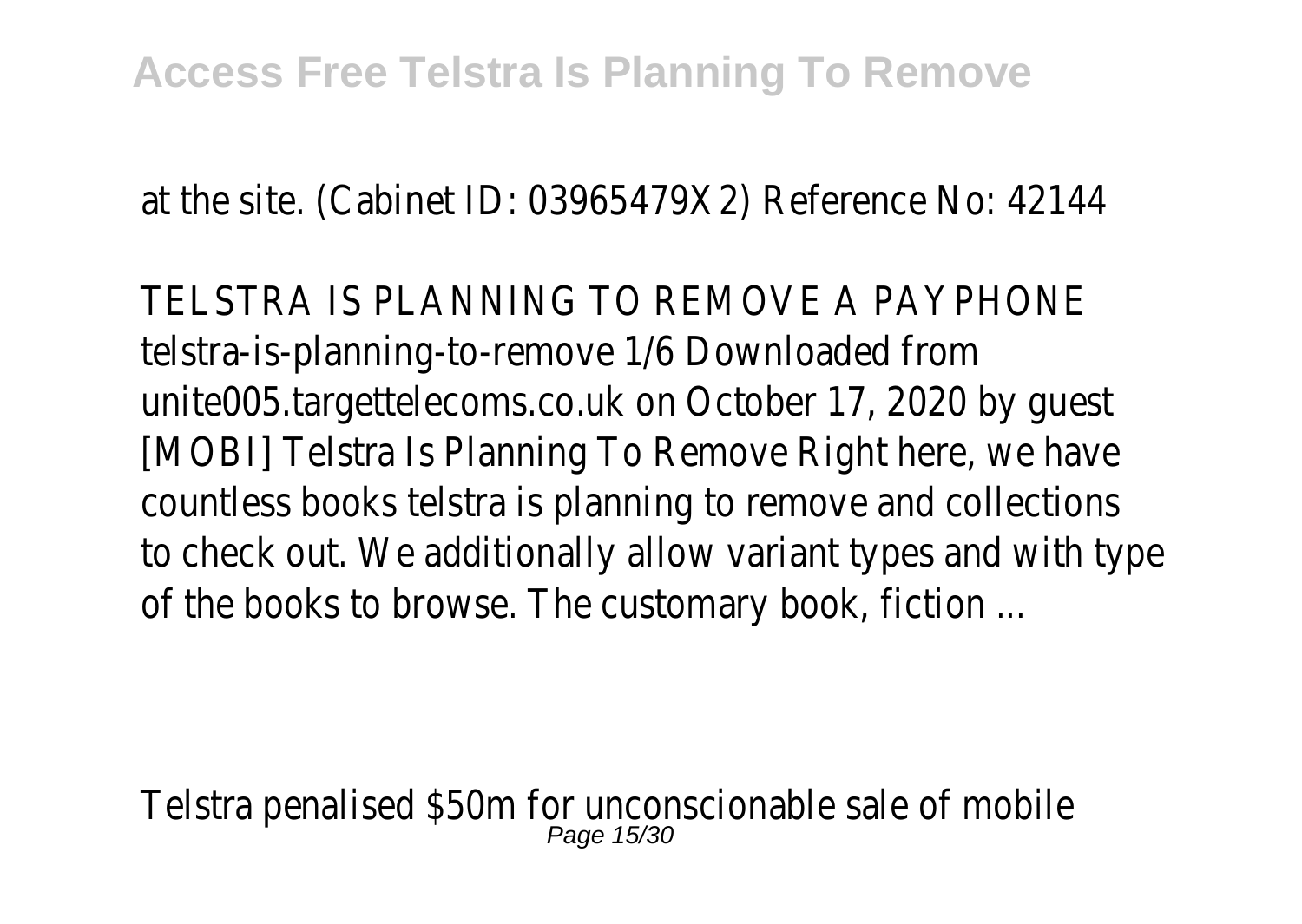at the site. (Cabinet ID: 03965479X2) Reference No: 42144

TELSTRA IS PLANNING TO REMOVE A PAYPHONE telstra-is-planning-to-remove 1/6 Downloaded from unite005.targettelecoms.co.uk on October 17, 2020 by guest [MOBI] Telstra Is Planning To Remove Right here, we have countless books telstra is planning to remove and collections to check out. We additionally allow variant types and with type of the books to browse. The customary book, fiction ...

Telstra penalised \$50m for unconscionable sale of mobile Page 15/3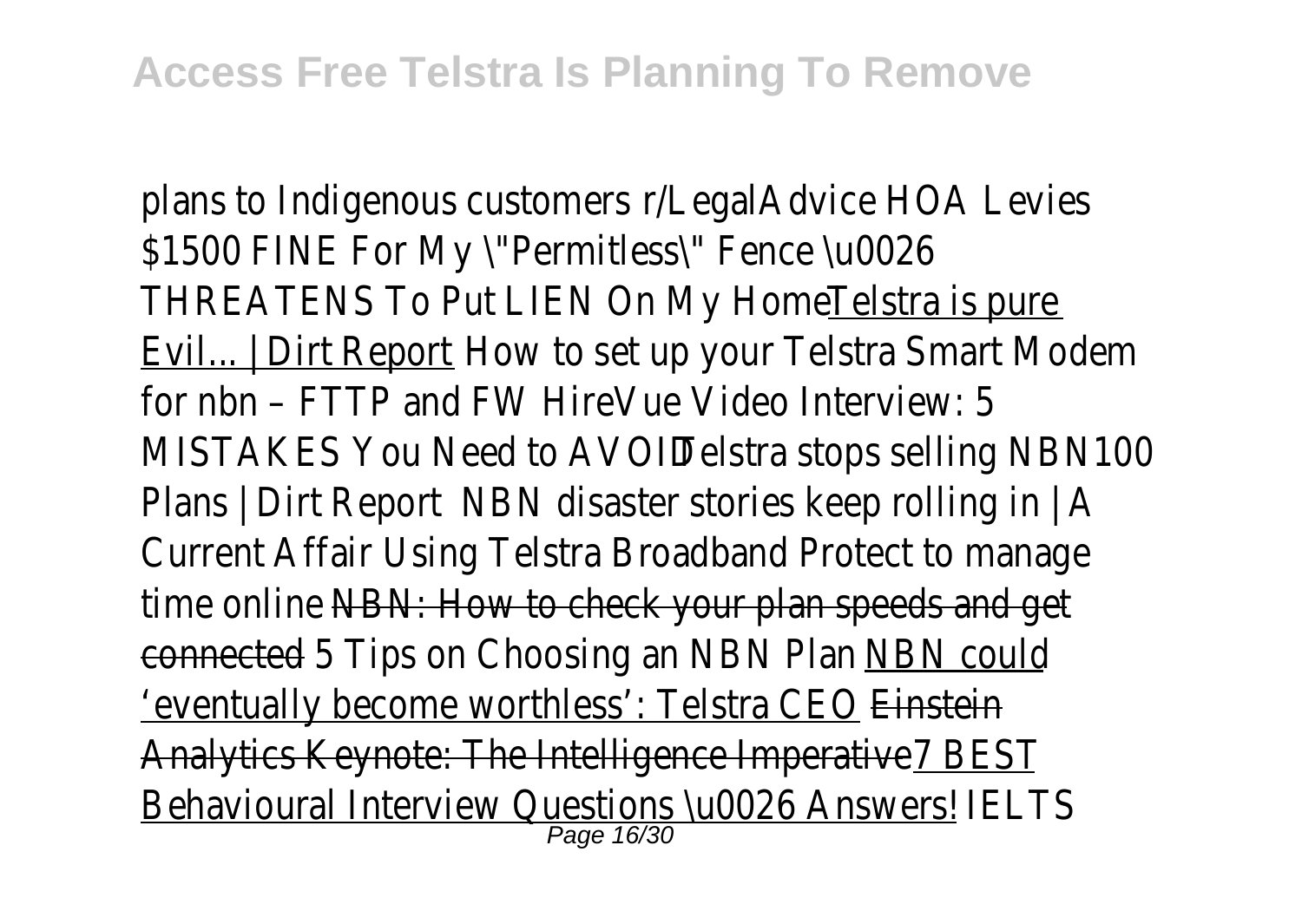plans to Indigenous customer **LegalAdvice HOA Levies** \$1500 FINE For My \"Permitless\" Fence \u0026 THREATENS To Put LIEN On My Home! Telstra is pure Evil... | Dirt Report How to set up your Telstra Smart Modem for nbn - FTTP and FWHireVue Video Interview: 5 MISTAKES You Need to AVOID Telstra stops selling NBN100 Plans | Dirt Report NBN disaster stories keep rolling in | A Current AffairUsing Telstra Broadband Protect to manage time onlineNBN: How to check your plan speeds and get connected<sub>5</sub> Tips on Choosing an NBN PlanNBN could 'eventually become worthless': Telstra CEOnstein Analytics Keynote: The Intelligence ImperativeBEST Behavioural Interview Questions \u0026 Answers! ISL Page 16/30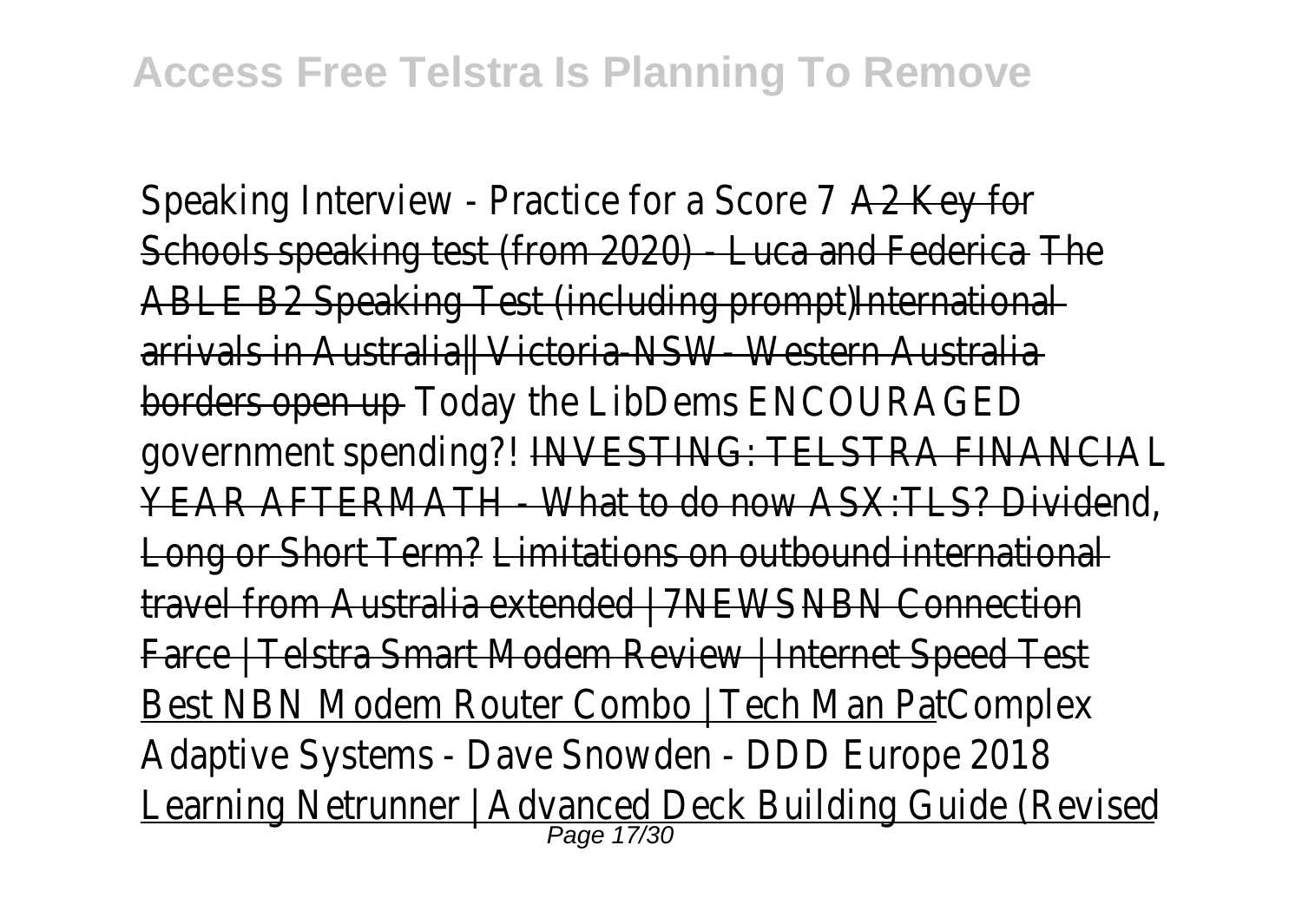Speaking Interview - Practice for a Scord 27Key for Schools speaking test (from 2020) - Luca and Fedenica ABLE B2 Speaking Test (including promptiternational arrivals in Australia|| Victoria-NSW- Western Australia borders open upToday the LibDems ENCOURAGED government spending?NVESTING: TELSTRA FINANCIAL YEAR AFTERMATH - What to do now ASX:TLS? Dividend, Long or Short Term?Limitations on outbound international travel from Australia extended | 7NEWBN Connection Farce | Telstra Smart Modem Review | Internet Speed Test Best NBN Modem Router Combo | Tech Man Pat nplex Adaptive Systems - Dave Snowden - DDD Europe 2018 Learning Netrunner | Advanced Deck Building Guide (Revised<br>Page 17/30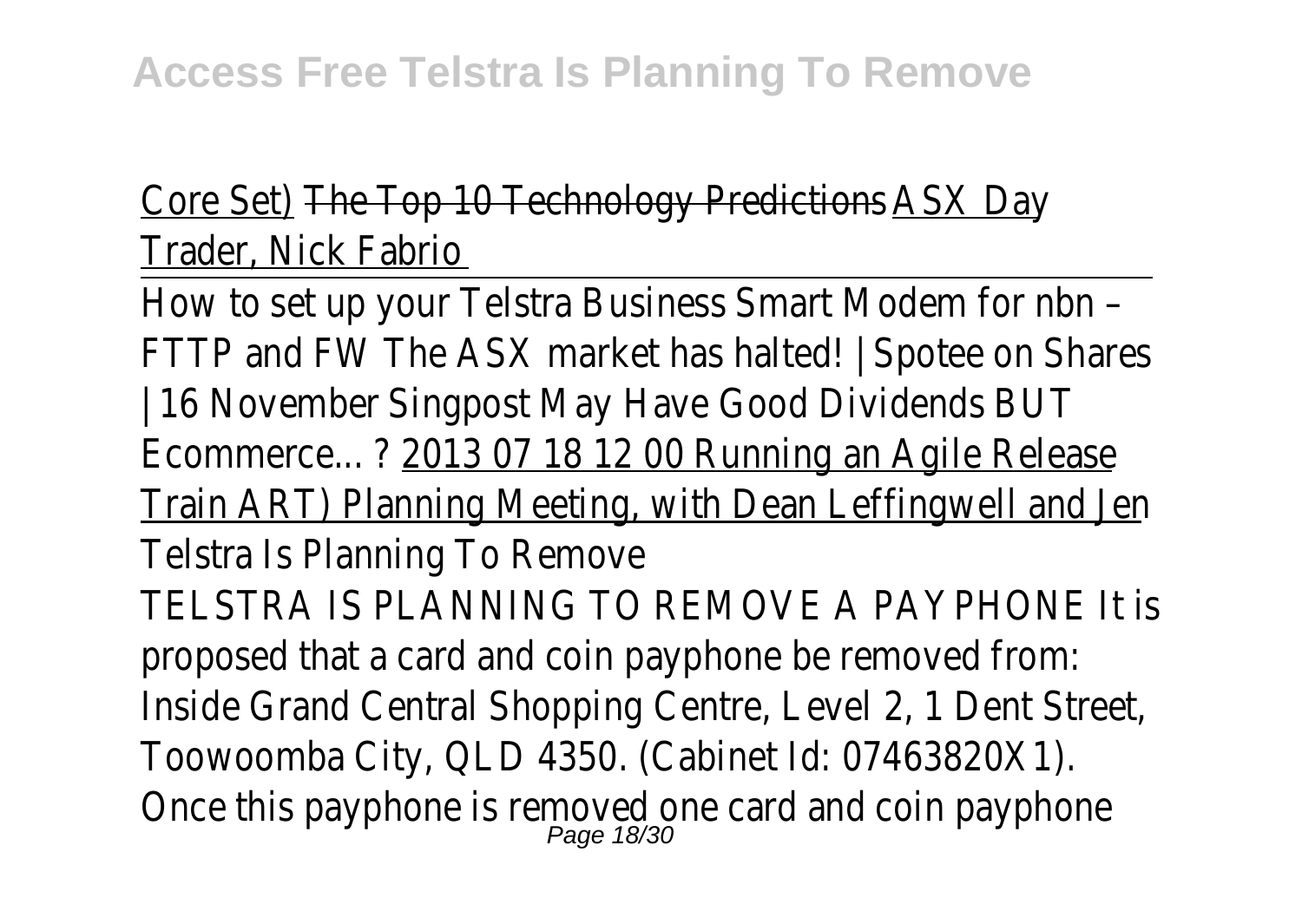## Core Set)The Top 10 Technology PredictionSX Day Trader, Nick Fabrio

How to set up your Telstra Business Smart Modem for nbn – FTTP and FW The ASX market has halted! | Spotee on Shares | 16 Novembe Singpost May Have Good Dividends BUT Ecommerce... ?2013 07 18 12 00 Running an Agile Release Train ART) Planning Meeting, with Dean Leffingwell and Jen Telstra Is Planning To Remove TELSTRA IS PLANNING TO REMOVE A PAYPHONE It is proposed that a card and coin payphone be removed from: Inside Grand Central Shopping Centre, Level 2, 1 Dent Street, Toowoomba City, QLD 4350. (Cabinet Id: 07463820X1). Once this payphone is removed one card and coin payphone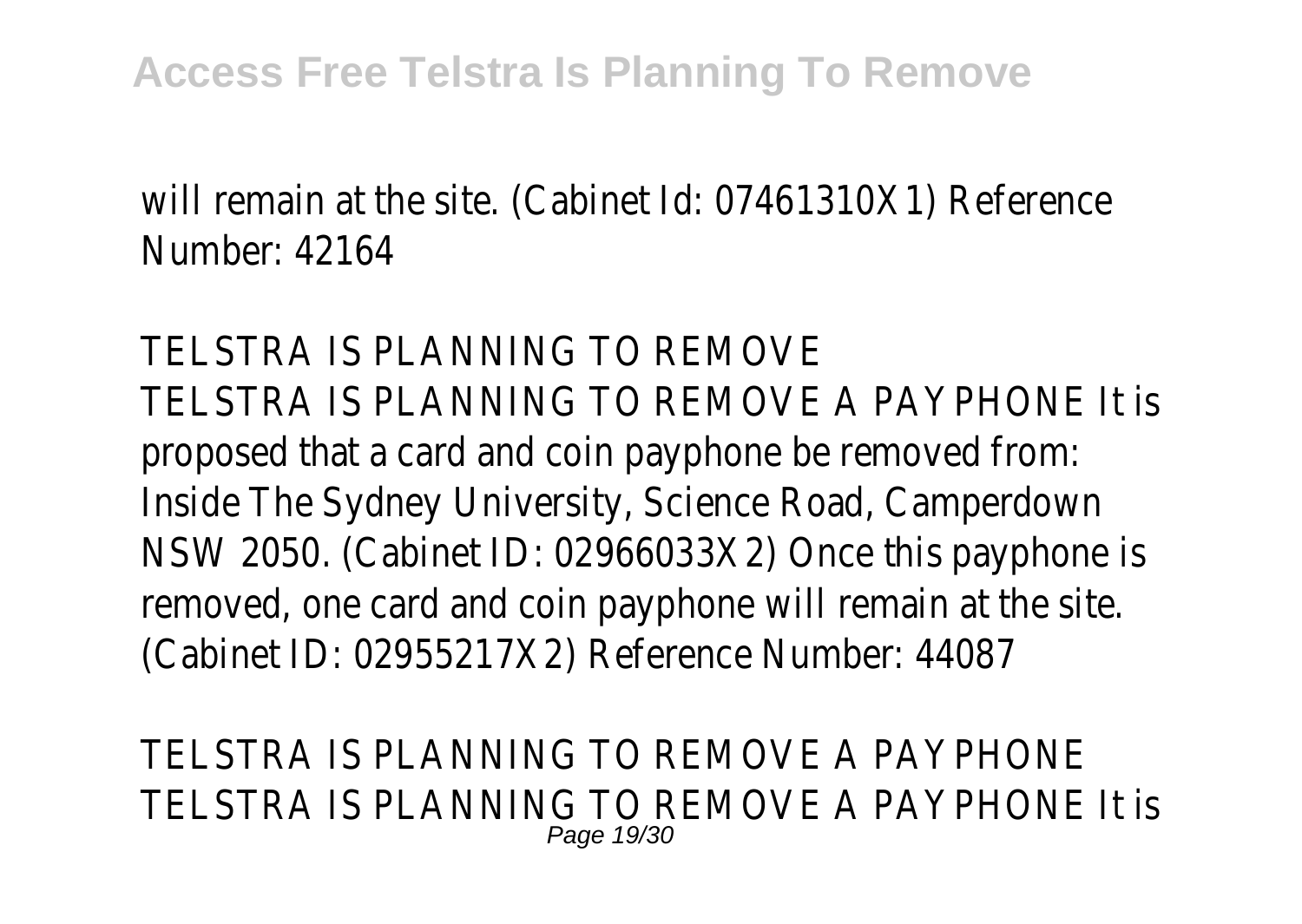will remain at the site. (Cabinet Id: 07461310X1) Reference Number: 42164

TELSTRA IS PLANNING TO REMOVE TELSTRA IS PLANNING TO REMOVE A PAYPHONE It is proposed that a card and coin payphone be removed from: Inside The Sydney University, Science Road, Camperdown NSW 2050. (Cabinet ID: 02966033X2) Once this payphone is removed, one card and coin payphone will remain at the site. (Cabinet ID: 02955217X2) Reference Number: 44087

TELSTRA IS PLANNING TO REMOVE A PAYPHONE TELSTRA IS PLANNING TO REMOVE A PAYPHONE It is Page 19/30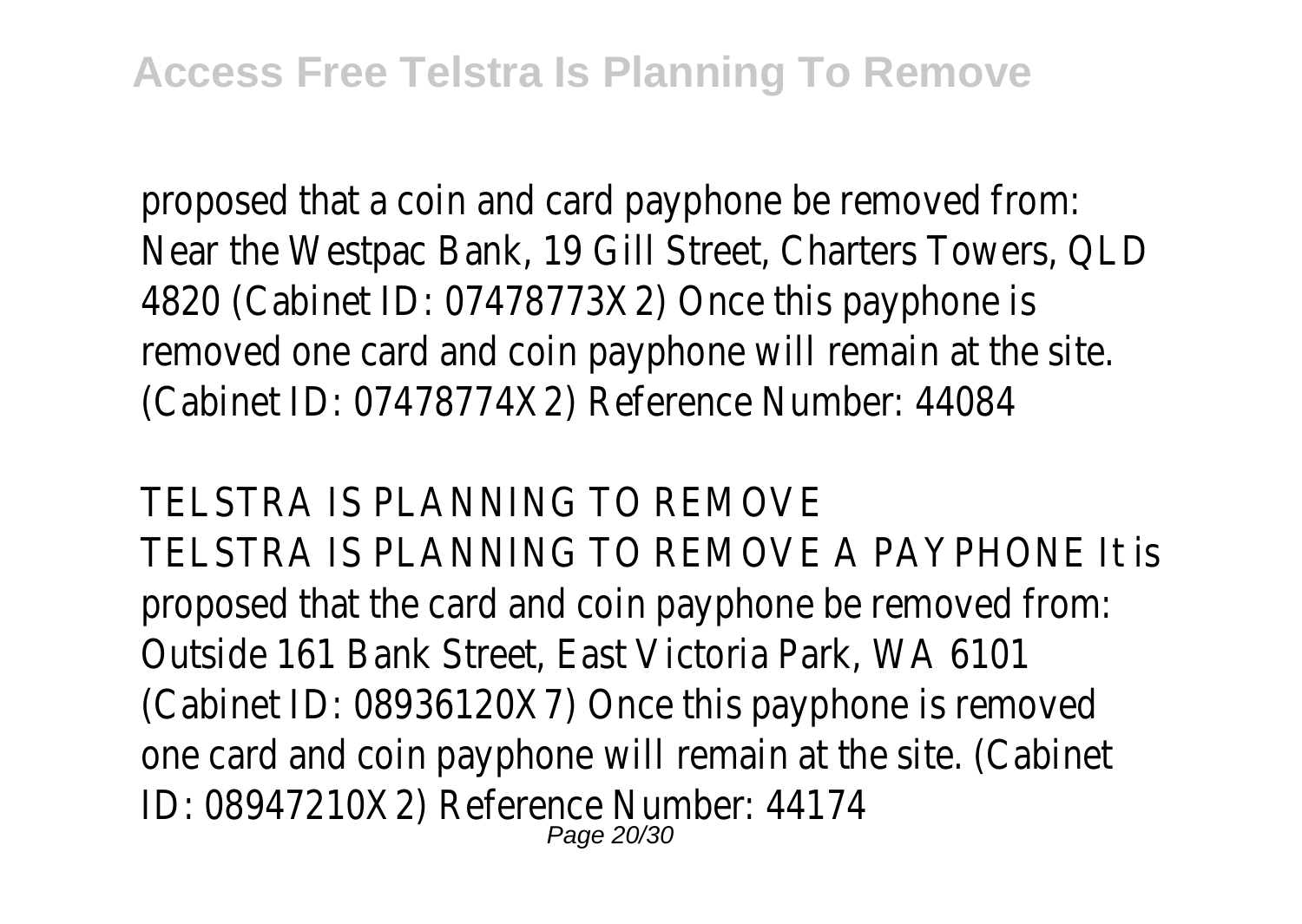proposed that a coin and card payphone be removed from: Near the Westpac Bank, 19 Gill Street, Charters Towers, QLD 4820 (Cabinet ID: 07478773X2) Once this payphone is removed one card and coin payphone will remain at the site. (Cabinet ID: 07478774X2) Reference Number: 44084

TELSTRA IS PLANNING TO REMOVE TELSTRA IS PLANNING TO REMOVE A PAYPHONE It is proposed that the card and coin payphone be removed from: Outside 161 Bank Street, East Victoria Park, WA 6101 (Cabinet ID: 08936120X7) Once this payphone is removed one card and coin payphone will remain at the site. (Cabinet ID: 08947210X2) Reference Number: 44174 Page 20/30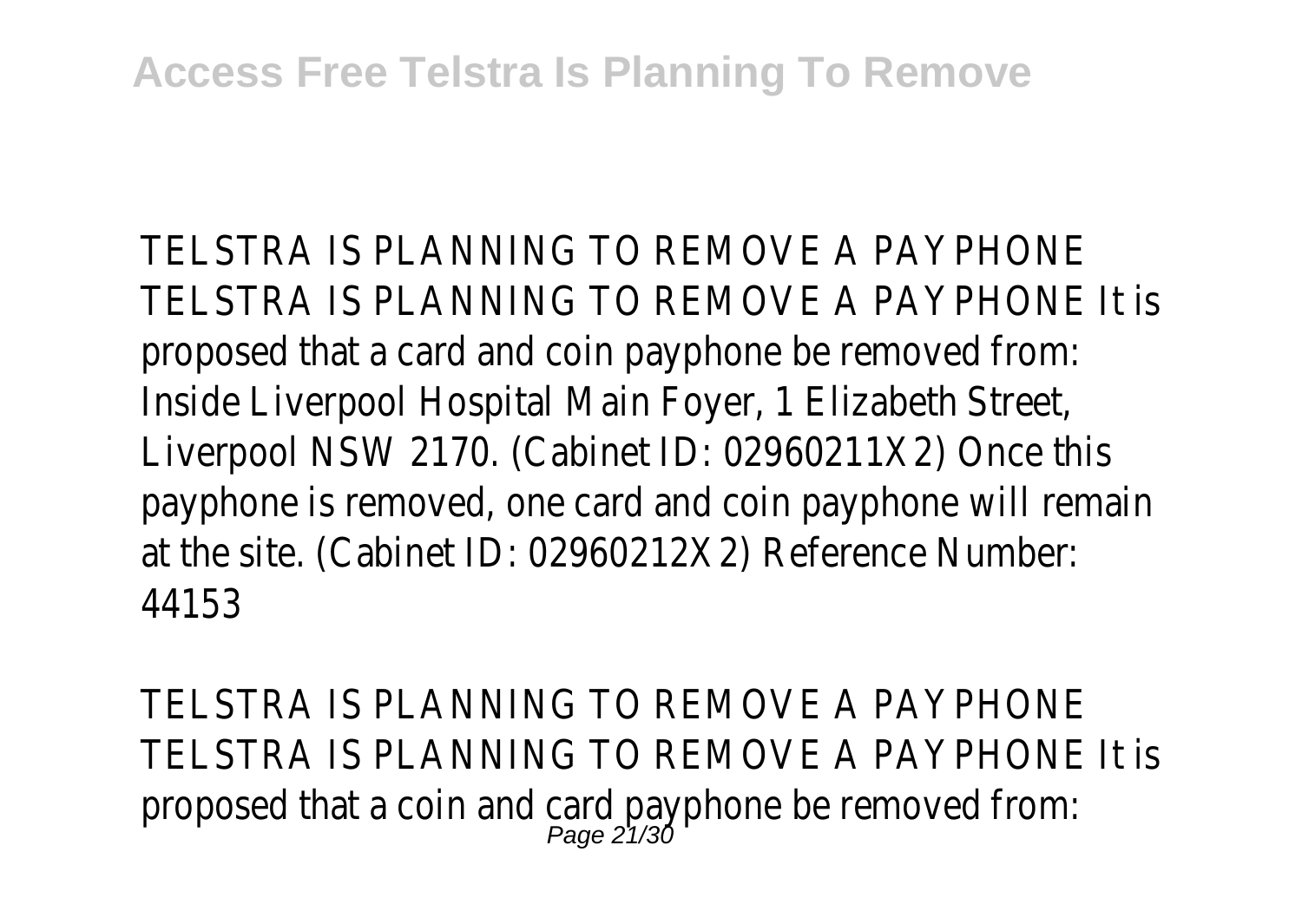TELSTRA IS PLANNING TO REMOVE A PAYPHONE TELSTRA IS PLANNING TO REMOVE A PAYPHONE It is proposed that a card and coin payphone be removed from: Inside Liverpool Hospital Main Foyer, 1 Elizabeth Street, Liverpool NSW 2170. (Cabinet ID: 02960211X2) Once this payphone is removed, one card and coin payphone will remain at the site. (Cabinet ID: 02960212X2) Reference Number: 44153

TELSTRA IS PLANNING TO REMOVE A PAYPHONE TELSTRA IS PLANNING TO REMOVE A PAYPHONE It is proposed that a coin and card payphone be removed from: Page 21/30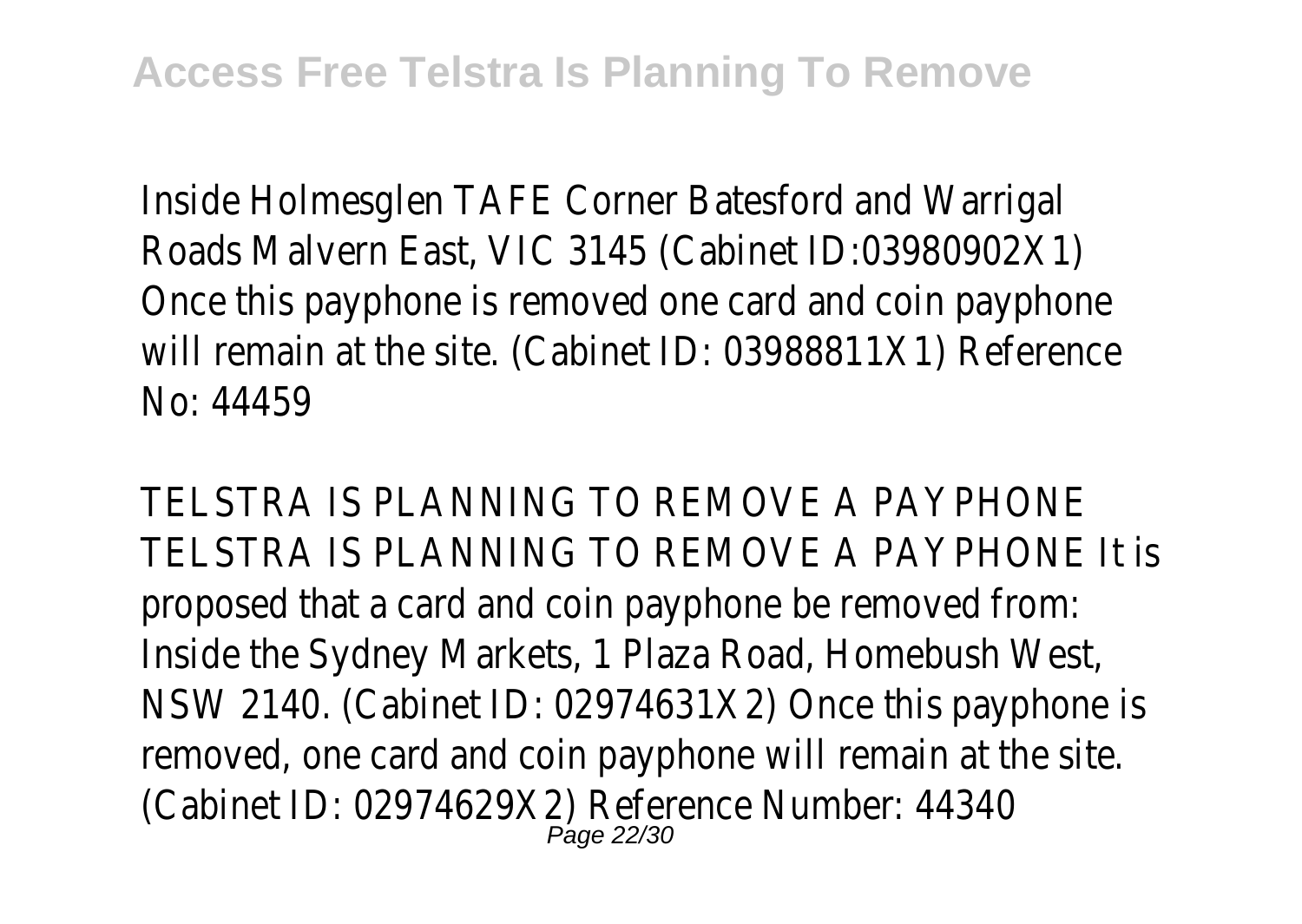Inside Holmesglen TAFE Corner Batesford and Warrigal Roads Malvern East, VIC 3145 (Cabinet ID:03980902X1) Once this payphone is removed one card and coin payphone will remain at the site. (Cabinet ID: 03988811X1) Reference No: 44459

TELSTRA IS PLANNING TO REMOVE A PAYPHONE TELSTRA IS PLANNING TO REMOVE A PAYPHONE It is proposed that a card and coin payphone be removed from: Inside the Sydney Markets, 1 Plaza Road, Homebush West, NSW 2140. (Cabinet ID: 02974631X2) Once this payphone is removed, one card and coin payphone will remain at the site. (Cabinet ID: 02974629X2) Reference Number: 44340 Page 22/30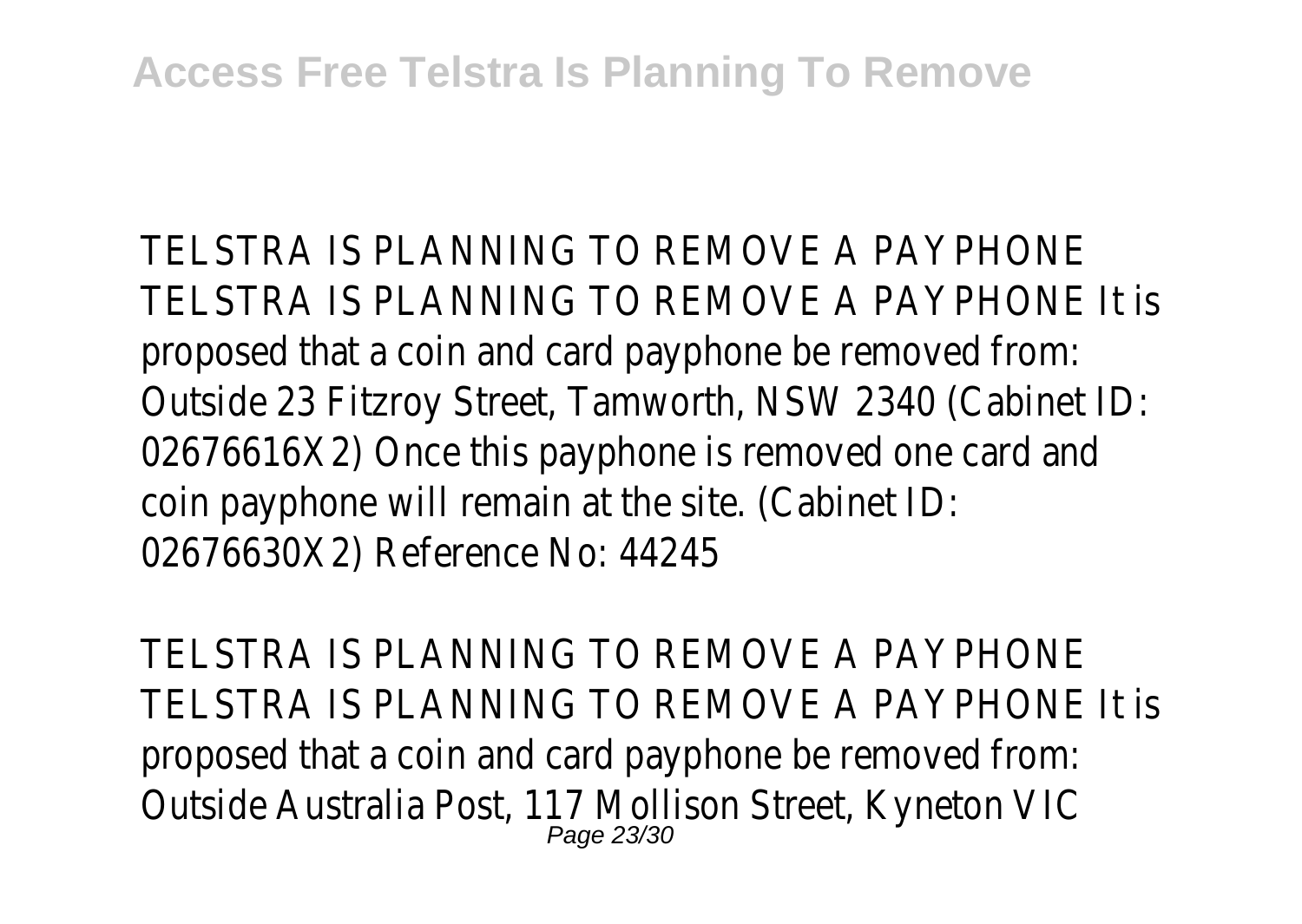TELSTRA IS PLANNING TO REMOVE A PAYPHONE TELSTRA IS PLANNING TO REMOVE A PAYPHONE It is proposed that a coin and card payphone be removed from: Outside 23 Fitzroy Street, Tamworth, NSW 2340 (Cabinet ID: 02676616X2) Once this payphone is removed one card and coin payphone will remain at the site. (Cabinet ID: 02676630X2) Reference No: 44245

TELSTRA IS PLANNING TO REMOVE A PAYPHONE TELSTRA IS PLANNING TO REMOVE A PAYPHONE It is proposed that a coin and card payphone be removed from: Outside Australia Post, 117 Mollison Street, Kyneton VIC<br>Page 23/30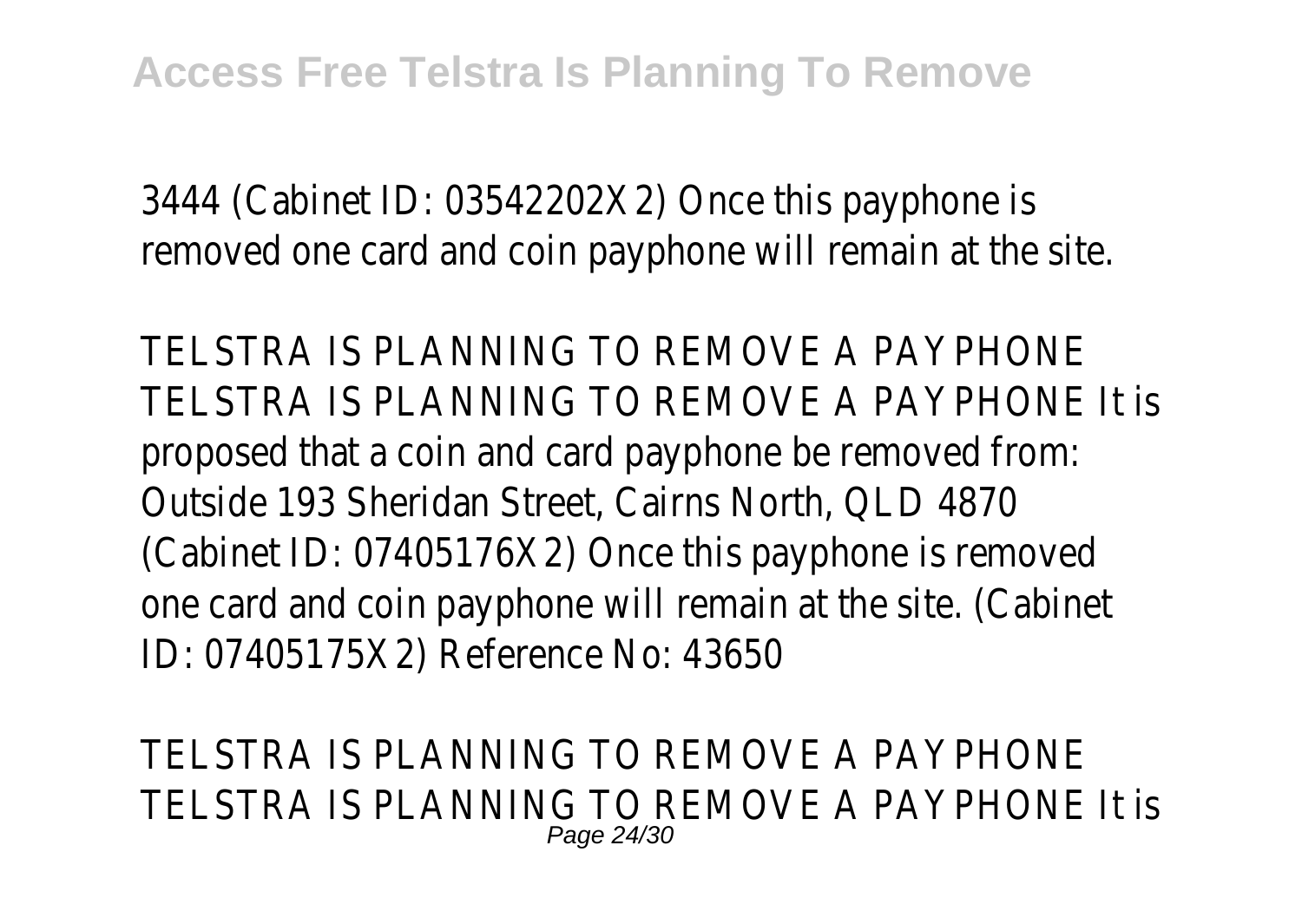3444 (Cabinet ID: 03542202X2) Once this payphone is removed one card and coin payphone will remain at the site.

TELSTRA IS PLANNING TO REMOVE A PAYPHONE TELSTRA IS PLANNING TO REMOVE A PAYPHONE It is proposed that a coin and card payphone be removed from: Outside 193 Sheridan Street, Cairns North, QLD 4870 (Cabinet ID: 07405176X2) Once this payphone is removed one card and coin payphone will remain at the site. (Cabinet ID: 07405175X2) Reference No: 43650

TELSTRA IS PLANNING TO REMOVE A PAYPHONE TELSTRA IS PLANNING TO REMOVE A PAYPHONE It is Page 24/30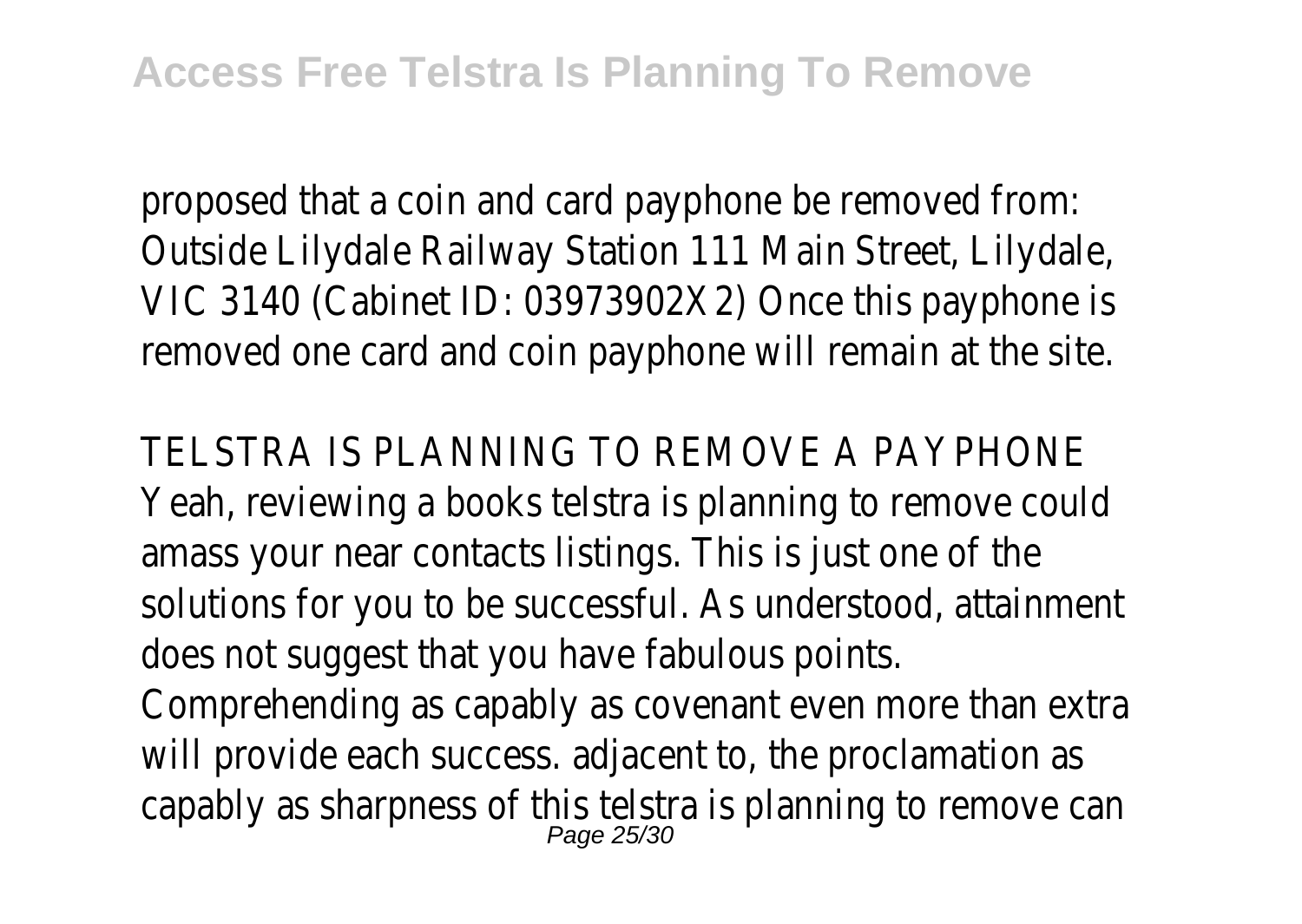proposed that a coin and card payphone be removed from: Outside Lilydale Railway Station 111 Main Street, Lilydale, VIC 3140 (Cabinet ID: 03973902X2) Once this payphone is removed one card and coin payphone will remain at the site.

TELSTRA IS PLANNING TO REMOVE A PAYPHONI Yeah, reviewing a books telstra is planning to remove could amass your near contacts listings. This is just one of the solutions for you to be successful. As understood, attainment does not suggest that you have fabulous points. Comprehending as capably as covenant even more than extra will provide each success. adjacent to, the proclamation as capably as sharpness of this telstra is planning to remove can Page 25/30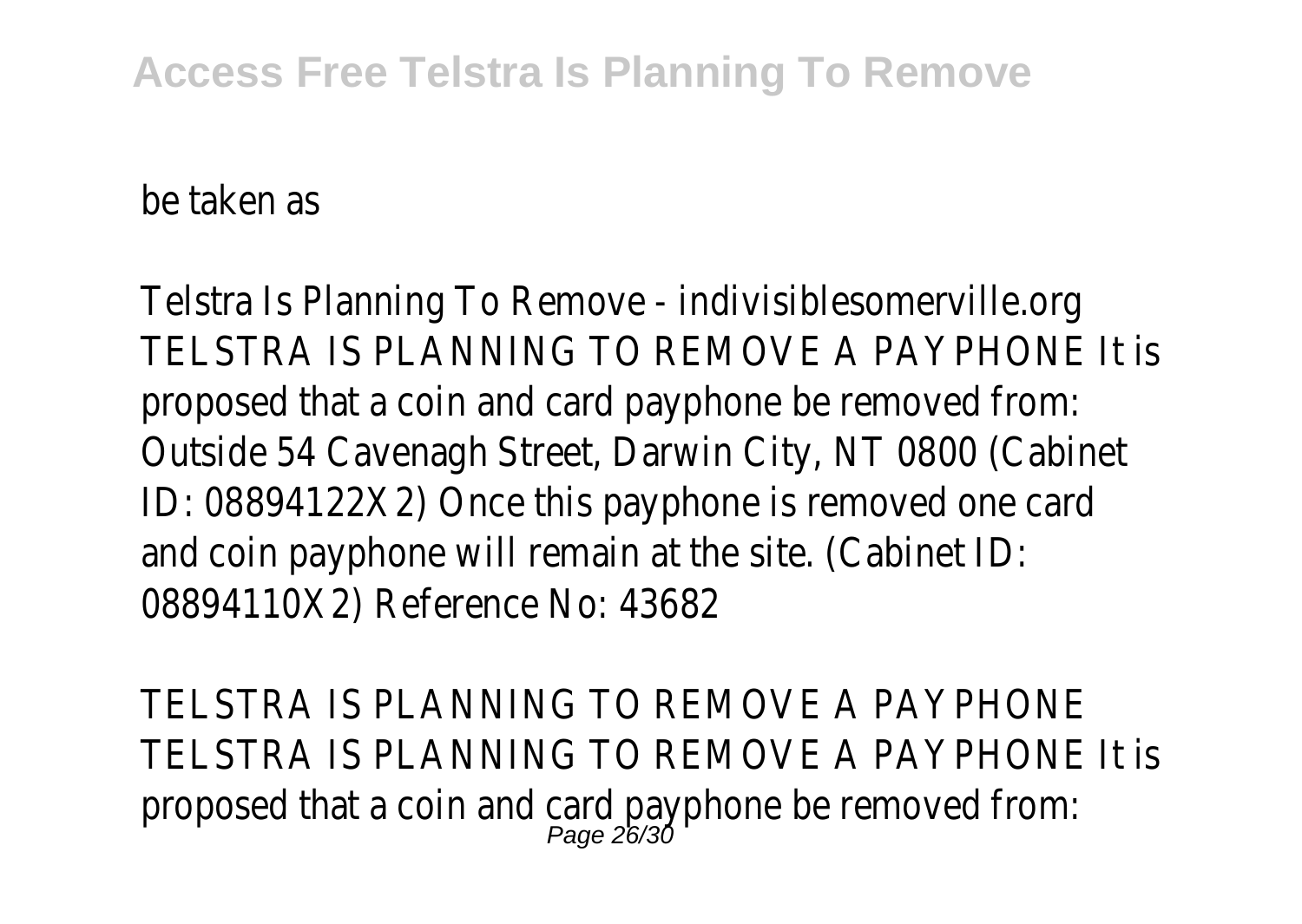be taken as

Telstra Is Planning To Remove - indivisiblesomerville.org TELSTRA IS PLANNING TO REMOVE A PAYPHONE It is proposed that a coin and card payphone be removed from: Outside 54 Cavenagh Street, Darwin City, NT 0800 (Cabinet ID: 08894122X2) Once this payphone is removed one card and coin payphone will remain at the site. (Cabinet ID: 08894110X2) Reference No: 43682

TELSTRA IS PLANNING TO REMOVE A PAYPHONE TELSTRA IS PLANNING TO REMOVE A PAYPHONE It is proposed that a coin and card payphone be removed from: Page 26/30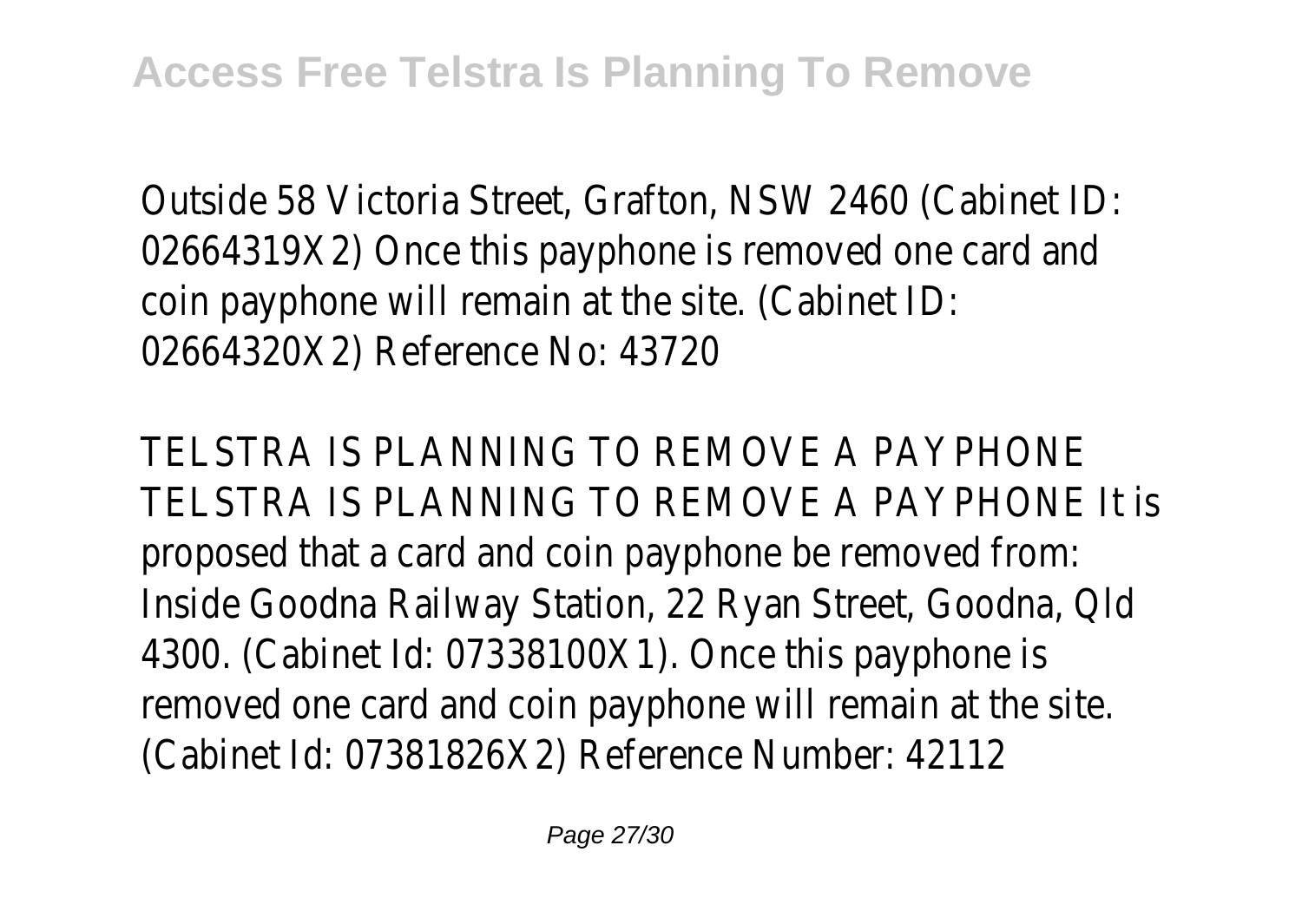Outside 58 Victoria Street, Grafton, NSW 2460 (Cabinet ID: 02664319X2) Once this payphone is removed one card and coin payphone will remain at the site. (Cabinet ID: 02664320X2) Reference No: 43720

TELSTRA IS PLANNING TO REMOVE A PAYPHONE TELSTRA IS PLANNING TO REMOVE A PAYPHONE It is proposed that a card and coin payphone be removed from: Inside Goodna Railway Station, 22 Ryan Street, Goodna, Qld 4300. (Cabinet Id: 07338100X1). Once this payphone is removed one card and coin payphone will remain at the site. (Cabinet Id: 07381826X2) Reference Number: 42112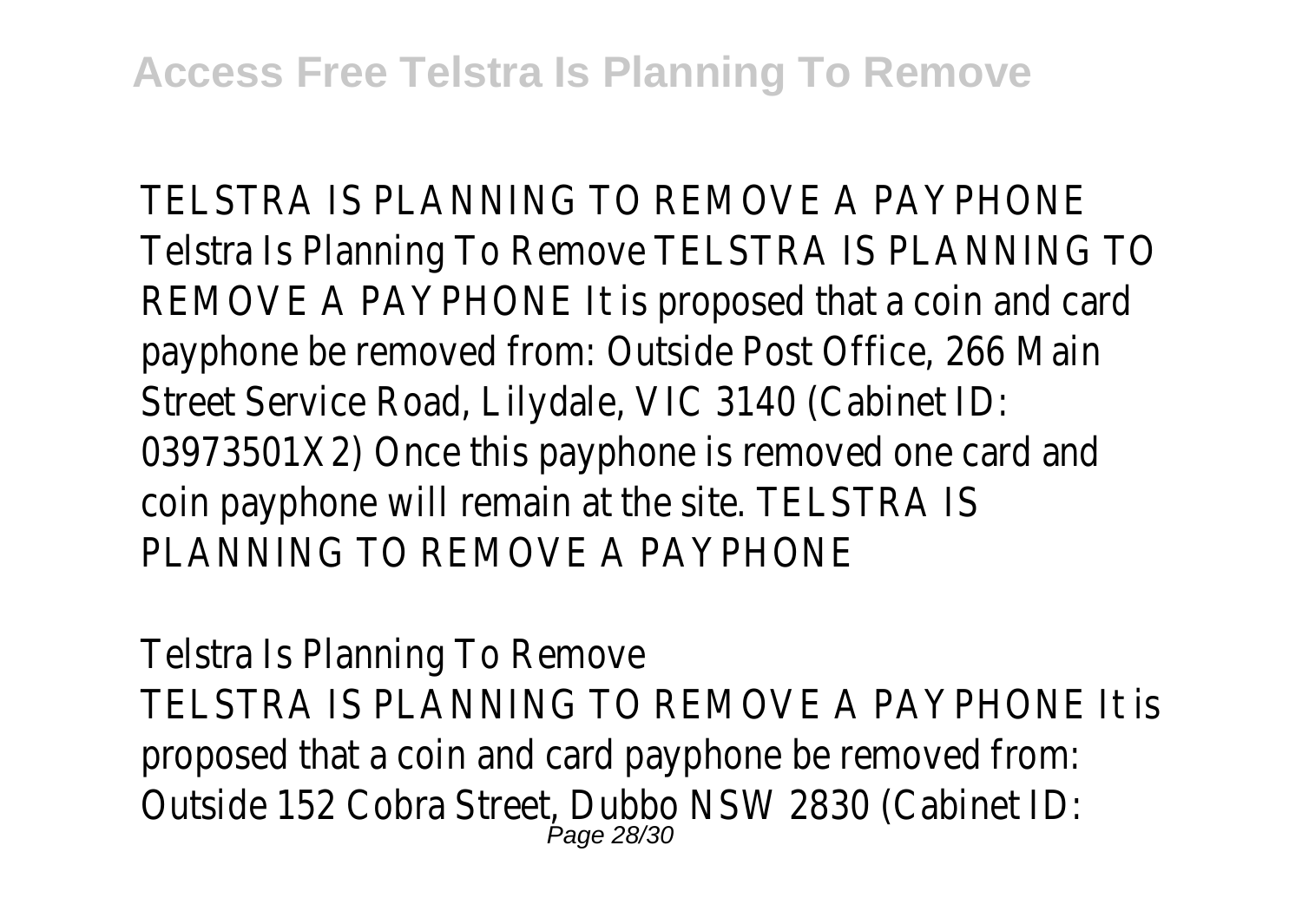TELSTRA IS PLANNING TO REMOVE A PAYPHONE Telstra Is Planning To Remove TELSTRA IS PLANNING TO REMOVE A PAYPHONE It is proposed that a coin and card payphone be removed from: Outside Post Office, 266 Main Street Service Road, Lilydale, VIC 3140 (Cabinet ID: 03973501X2) Once this payphone is removed one card and coin payphone will remain at the site. TELSTRA IS PLANNING TO REMOVE A PAYPHONE

Telstra Is Planning To Remove TELSTRA IS PLANNING TO REMOVE A PAYPHONE It is proposed that a coin and card payphone be removed from: Outside 152 Cobra Street, Dubbo NSW 2830 (Cabinet ID: **Page 28/30**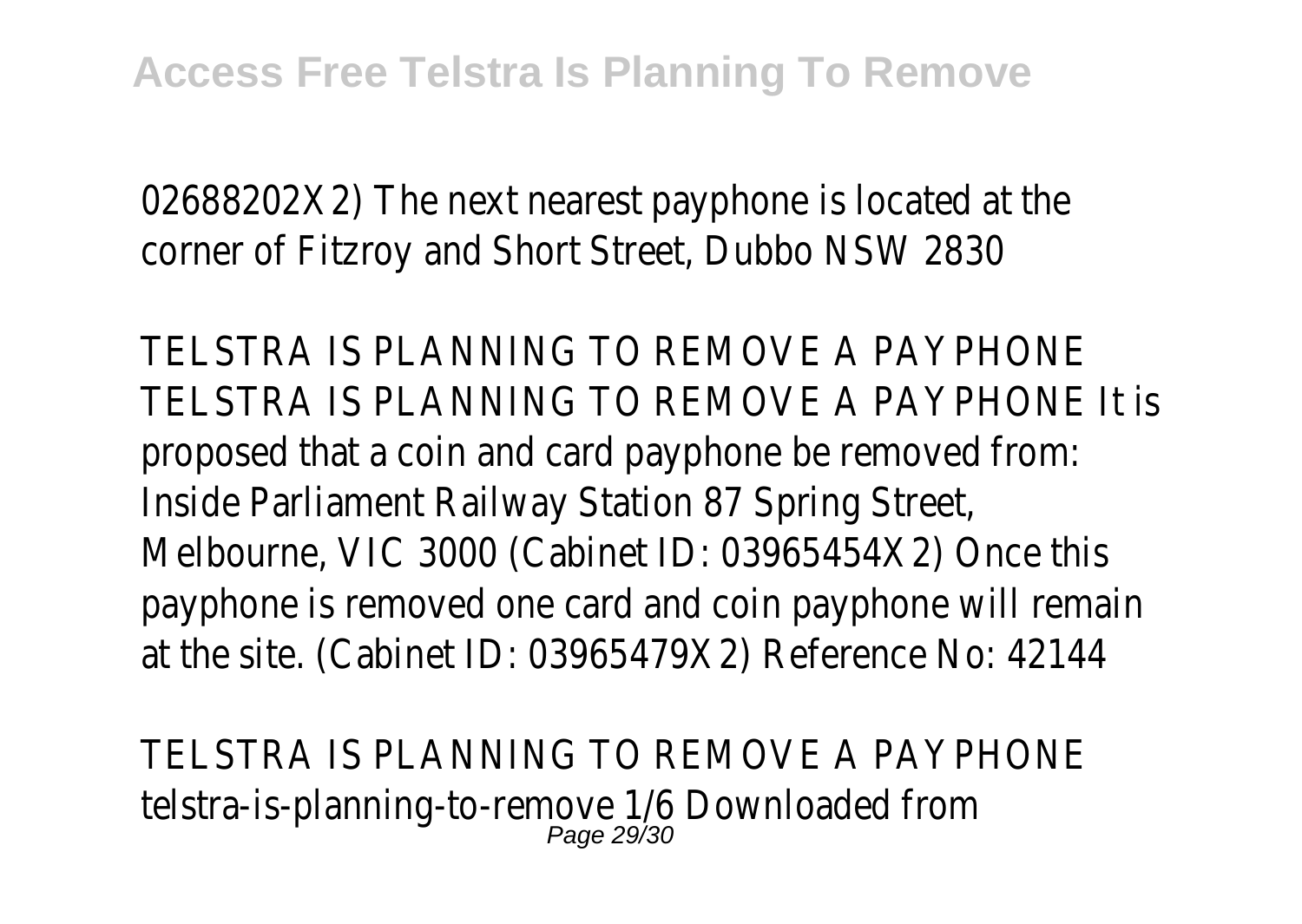02688202X2) The next nearest payphone is located at the corner of Fitzroy and Short Street, Dubbo NSW 2830

TELSTRA IS PLANNING TO REMOVE A PAYPHONE TELSTRA IS PLANNING TO REMOVE A PAYPHONE It is proposed that a coin and card payphone be removed from: Inside Parliament Railway Station 87 Spring Street, Melbourne, VIC 3000 (Cabinet ID: 03965454X2) Once this payphone is removed one card and coin payphone will remain at the site. (Cabinet ID: 03965479X2) Reference No: 42144

TELSTRA IS PLANNING TO REMOVE A PAYPHONE telstra-is-planning-to-remove 1/6 Downloaded from Page 29/30